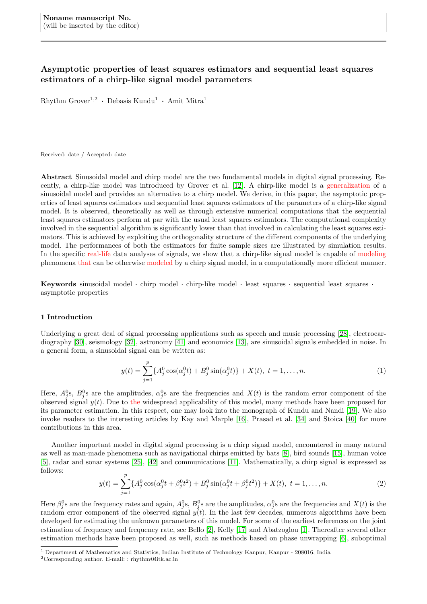# <span id="page-0-1"></span>Asymptotic properties of least squares estimators and sequential least squares estimators of a chirp-like signal model parameters

 $R$ hythm Grover<sup>1,2</sup> · Debasis Kundu<sup>1</sup> · Amit Mitra<sup>1</sup>

Received: date / Accepted: date

Abstract Sinusoidal model and chirp model are the two fundamental models in digital signal processing. Recently, a chirp-like model was introduced by Grover et al. [\[12\]](#page-26-0). A chirp-like model is a generalization of a sinusoidal model and provides an alternative to a chirp model. We derive, in this paper, the asymptotic properties of least squares estimators and sequential least squares estimators of the parameters of a chirp-like signal model. It is observed, theoretically as well as through extensive numerical computations that the sequential least squares estimators perform at par with the usual least squares estimators. The computational complexity involved in the sequential algorithm is significantly lower than that involved in calculating the least squares estimators. This is achieved by exploiting the orthogonality structure of the different components of the underlying model. The performances of both the estimators for finite sample sizes are illustrated by simulation results. In the specific real-life data analyses of signals, we show that a chirp-like signal model is capable of modeling phenomena that can be otherwise modeled by a chirp signal model, in a computationally more efficient manner.

Keywords sinusoidal model · chirp model · chirp-like model · least squares · sequential least squares · asymptotic properties

# 1 Introduction

Underlying a great deal of signal processing applications such as speech and music processing [\[28\]](#page-26-1), electrocardiography [\[30\]](#page-26-2), seismology [\[32\]](#page-27-0), astronomy [\[41\]](#page-27-1) and economics [\[13\]](#page-26-3), are sinusoidal signals embedded in noise. In a general form, a sinusoidal signal can be written as:

<span id="page-0-0"></span>
$$
y(t) = \sum_{j=1}^{p} \{A_j^0 \cos(\alpha_j^0 t) + B_j^0 \sin(\alpha_j^0 t)\} + X(t), \ t = 1, \dots, n.
$$
 (1)

Here,  $A_j^0$ s,  $B_j^0$ s are the amplitudes,  $\alpha_j^0$ s are the frequencies and  $X(t)$  is the random error component of the observed signal  $y(t)$ . Due to the widespread applicability of this model, many methods have been proposed for its parameter estimation. In this respect, one may look into the monograph of Kundu and Nandi [\[19\]](#page-26-4). We also invoke readers to the interesting articles by Kay and Marple [\[16\]](#page-26-5), Prasad et al. [\[34\]](#page-27-2) and Stoica [\[40\]](#page-27-3) for more contributions in this area.

Another important model in digital signal processing is a chirp signal model, encountered in many natural as well as man-made phenomena such as navigational chirps emitted by bats [\[8\]](#page-26-6), bird sounds [\[15\]](#page-26-7), human voice [\[5\]](#page-26-8), radar and sonar systems [\[25\]](#page-26-9), [\[42\]](#page-27-4) and communications [\[11\]](#page-26-10). Mathematically, a chirp signal is expressed as follows:

<span id="page-0-2"></span>
$$
y(t) = \sum_{j=1}^{p} \{A_j^0 \cos(\alpha_j^0 t + \beta_j^0 t^2) + B_j^0 \sin(\alpha_j^0 t + \beta_j^0 t^2)\} + X(t), \ t = 1, \dots, n.
$$
 (2)

Here  $\beta_j^0$ s are the frequency rates and again,  $A_j^0$ s,  $B_j^0$ s are the amplitudes,  $\alpha_j^0$ s are the frequencies and  $X(t)$  is the random error component of the observed signal  $y(t)$ . In the last few decades, numerous algorithms have been developed for estimating the unknown parameters of this model. For some of the earliest references on the joint estimation of frequency and frequency rate, see Bello [\[2\]](#page-26-11), Kelly [\[17\]](#page-26-12) and Abatzoglou [\[1\]](#page-26-13). Thereafter several other estimation methods have been proposed as well, such as methods based on phase unwrapping [\[6\]](#page-26-14), suboptimal

<sup>1,</sup>Department of Mathematics and Statistics, Indian Institute of Technology Kanpur, Kanpur - 208016, India

<sup>&</sup>lt;sup>2</sup>Corresponding author. E-mail: : rhythm@iitk.ac.in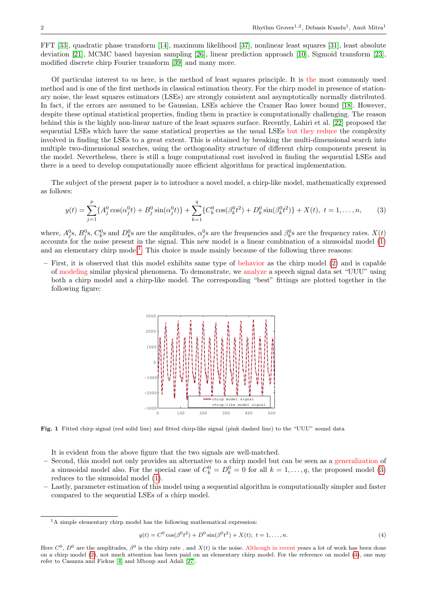FFT [\[33\]](#page-27-5), quadratic phase transform [\[14\]](#page-26-15), maximum likelihood [\[37\]](#page-27-6), nonlinear least squares [\[31\]](#page-27-7), least absolute deviation [\[21\]](#page-26-16), MCMC based bayesian sampling [\[26\]](#page-26-17), linear prediction approach [\[10\]](#page-26-18), Sigmoid transform [\[23\]](#page-26-19), modified discrete chirp Fourier transform [\[39\]](#page-27-8) and many more.

Of particular interest to us here, is the method of least squares principle. It is the most commonly used method and is one of the first methods in classical estimation theory. For the chirp model in presence of stationary noise, the least squares estimators (LSEs) are strongly consistent and asymptotically normally distributed. In fact, if the errors are assumed to be Gaussian, LSEs achieve the Cramer Rao lower bound [\[18\]](#page-26-20). However, despite these optimal statistical properties, finding them in practice is computationally challenging. The reason behind this is the highly non-linear nature of the least squares surface. Recently, Lahiri et al. [\[22\]](#page-26-21) proposed the sequential LSEs which have the same statistical properties as the usual LSEs but they reduce the complexity involved in finding the LSEs to a great extent. This is obtained by breaking the multi-dimensional search into multiple two-dimensional searches, using the orthogonality structure of different chirp components present in the model. Nevertheless, there is still a huge computational cost involved in finding the sequential LSEs and there is a need to develop computationally more efficient algorithms for practical implementation.

The subject of the present paper is to introduce a novel model, a chirp-like model, mathematically expressed as follows:

<span id="page-1-0"></span>
$$
y(t) = \sum_{j=1}^{p} \{A_j^0 \cos(\alpha_j^0 t) + B_j^0 \sin(\alpha_j^0 t)\} + \sum_{k=1}^{q} \{C_k^0 \cos(\beta_k^0 t^2) + D_k^0 \sin(\beta_k^0 t^2)\} + X(t), \ t = 1, \dots, n,
$$
 (3)

where,  $A_j^0$ s,  $B_j^0$ s,  $C_k^0$ s and  $D_k^0$ s are the amplitudes,  $\alpha_j^0$ s are the frequencies and  $\beta_k^0$ s are the frequency rates.  $X(t)$ accounts for the noise present in the signal. This new model is a linear combination of a sinusoidal model [\(1\)](#page-0-0) and an elementary chirp model<sup>[1](#page-0-1)</sup>. This choice is made mainly because of the following three reasons:

– First, it is observed that this model exhibits same type of behavior as the chirp model [\(2\)](#page-0-2) and is capable of modeling similar physical phenomena. To demonstrate, we analyze a speech signal data set "UUU" using both a chirp model and a chirp-like model. The corresponding "best" fittings are plotted together in the following figure:



Fig. 1 Fitted chirp signal (red solid line) and fitted chirp-like signal (pink dashed line) to the "UUU" sound data

It is evident from the above figure that the two signals are well-matched.

- Second, this model not only provides an alternative to a chirp model but can be seen as a generalization of a sinusoidal model also. For the special case of  $C_k^0 = D_k^0 = 0$  for all  $k = 1, \ldots, q$ , the proposed model [\(3\)](#page-1-0) reduces to the sinusoidal model [\(1\)](#page-0-0).
- Lastly, parameter estimation of this model using a sequential algorithm is computationally simpler and faster compared to the sequential LSEs of a chirp model.

<span id="page-1-1"></span>
$$
y(t) = C^{0} \cos(\beta^{0} t^{2}) + D^{0} \sin(\beta^{0} t^{2}) + X(t); \ t = 1, ..., n.
$$
 (4)

<sup>&</sup>lt;sup>1</sup>A simple elementary chirp model has the following mathematical expression:

Here  $C^0$ ,  $D^0$  are the amplitudes,  $\beta^0$  is the chirp rate, and  $X(t)$  is the noise. Although in recent years a lot of work has been done on a chirp model [\(2\)](#page-0-2), not much attention has been paid on an elementary chirp model. For the reference on model [\(4\)](#page-1-1), one may refer to Casazza and Fickus [\[4\]](#page-26-22) and Mboup and Adali [\[27\]](#page-26-23).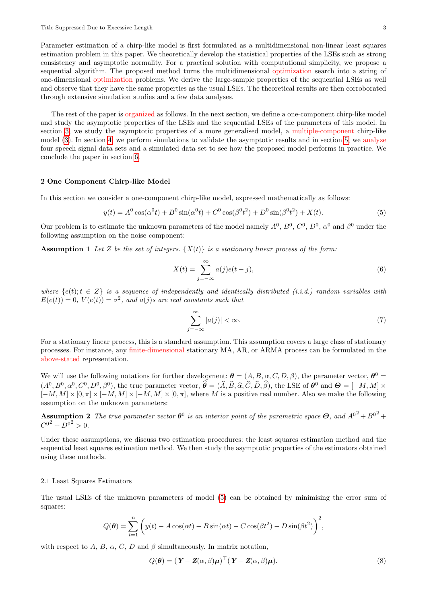Parameter estimation of a chirp-like model is first formulated as a multidimensional non-linear least squares estimation problem in this paper. We theoretically develop the statistical properties of the LSEs such as strong consistency and asymptotic normality. For a practical solution with computational simplicity, we propose a sequential algorithm. The proposed method turns the multidimensional optimization search into a string of one-dimensional optimization problems. We derive the large-sample properties of the sequential LSEs as well and observe that they have the same properties as the usual LSEs. The theoretical results are then corroborated through extensive simulation studies and a few data analyses.

The rest of the paper is organized as follows. In the next section, we define a one-component chirp-like model and study the asymptotic properties of the LSEs and the sequential LSEs of the parameters of this model. In section [3,](#page-5-0) we study the asymptotic properties of a more generalised model, a multiple-component chirp-like model [\(3\)](#page-1-0). In section [4,](#page-8-0) we perform simulations to validate the asymptotic results and in section [5,](#page-13-0) we analyze four speech signal data sets and a simulated data set to see how the proposed model performs in practice. We conclude the paper in section [6.](#page-17-0)

### 2 One Component Chirp-like Model

In this section we consider a one-component chirp-like model, expressed mathematically as follows:

$$
y(t) = A^{0} \cos(\alpha^{0} t) + B^{0} \sin(\alpha^{0} t) + C^{0} \cos(\beta^{0} t^{2}) + D^{0} \sin(\beta^{0} t^{2}) + X(t).
$$
\n(5)

Our problem is to estimate the unknown parameters of the model namely  $A^0$ ,  $B^0$ ,  $C^0$ ,  $D^0$ ,  $\alpha^0$  and  $\beta^0$  under the following assumption on the noise component:

<span id="page-2-2"></span>**Assumption 1** Let Z be the set of integers.  $\{X(t)\}\$ is a stationary linear process of the form:

<span id="page-2-0"></span>
$$
X(t) = \sum_{j = -\infty}^{\infty} a(j)e(t - j),
$$
\n(6)

where  $\{e(t); t \in Z\}$  is a sequence of independently and identically distributed (i.i.d.) random variables with  $E(e(t)) = 0, V(e(t)) = \sigma^2, \text{ and } a(j)s \text{ are real constants such that}$ 

<span id="page-2-3"></span>
$$
\sum_{j=-\infty}^{\infty} |a(j)| < \infty. \tag{7}
$$

For a stationary linear process, this is a standard assumption. This assumption covers a large class of stationary processes. For instance, any finite-dimensional stationary MA, AR, or ARMA process can be formulated in the above-stated representation.

We will use the following notations for further development:  $\theta = (A, B, \alpha, C, D, \beta)$ , the parameter vector,  $\theta^0 =$  $(A^0, B^0, \alpha^0, C^0, D^0, \beta^0)$ , the true parameter vector,  $\hat{\theta} = (\hat{A}, \hat{B}, \hat{\alpha}, \hat{C}, \hat{D}, \hat{\beta})$ , the LSE of  $\theta^0$  and  $\Theta = [-M, M] \times$ <br>[ M M]  $\times$  [0  $\pi$ ]  $\times$  [ M M]  $\times$  [ M M]  $\times$  [0  $\pi$ ] where M is a positive real num  $[-M, M] \times [0, \pi] \times [-M, M] \times [-M, M] \times [0, \pi]$ , where M is a positive real number. Also we make the following assumption on the unknown parameters:

**Assumption 2** The true parameter vector  $\theta^0$  is an interior point of the parametric space  $\Theta$ , and  $A^{0^2} + B^{0^2} +$  $C^{0^2} + D^{0^2} > 0.$ 

Under these assumptions, we discuss two estimation procedures: the least squares estimation method and the sequential least squares estimation method. We then study the asymptotic properties of the estimators obtained using these methods.

# 2.1 Least Squares Estimators

The usual LSEs of the unknown parameters of model [\(5\)](#page-2-0) can be obtained by minimising the error sum of squares:

$$
Q(\boldsymbol{\theta}) = \sum_{t=1}^{n} \left( y(t) - A\cos(\alpha t) - B\sin(\alpha t) - C\cos(\beta t^2) - D\sin(\beta t^2) \right)^2,
$$

with respect to A, B,  $\alpha$ , C, D and  $\beta$  simultaneously. In matrix notation,

<span id="page-2-1"></span>
$$
Q(\boldsymbol{\theta}) = (\boldsymbol{Y} - \boldsymbol{Z}(\alpha, \beta)\boldsymbol{\mu})^{\top} (\boldsymbol{Y} - \boldsymbol{Z}(\alpha, \beta)\boldsymbol{\mu}).
$$
\n(8)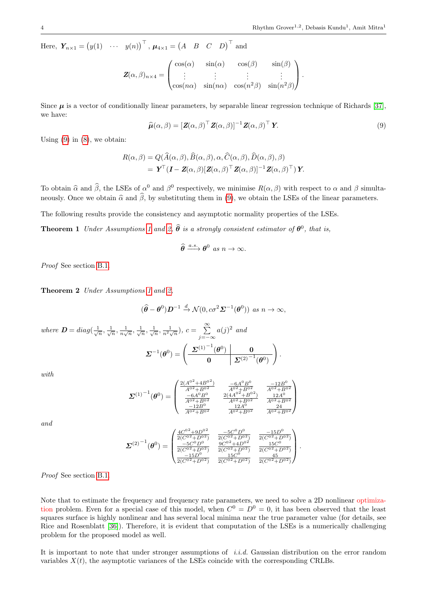Here,  $\boldsymbol{Y}_{n\times 1} = (y(1) \quad \cdots \quad y(n))^\top$ ,  $\boldsymbol{\mu}_{4\times 1} = (A \quad B \quad C \quad D)^\top$  and

$$
\mathbf{Z}(\alpha,\beta)_{n\times 4} = \begin{pmatrix} \cos(\alpha) & \sin(\alpha) & \cos(\beta) & \sin(\beta) \\ \vdots & \vdots & \vdots & \vdots \\ \cos(n\alpha) & \sin(n\alpha) & \cos(n^2\beta) & \sin(n^2\beta) \end{pmatrix}.
$$

Since  $\mu$  is a vector of conditionally linear parameters, by separable linear regression technique of Richards [\[37\]](#page-27-6), we have:

<span id="page-3-0"></span>
$$
\widehat{\boldsymbol{\mu}}(\alpha,\beta) = [\mathbf{Z}(\alpha,\beta)]^\top \mathbf{Z}(\alpha,\beta)]^{-1} \mathbf{Z}(\alpha,\beta)^\top \mathbf{Y}.
$$
\n(9)

<span id="page-3-2"></span> $\setminus$ .

Using  $(9)$  in  $(8)$ , we obtain:

$$
R(\alpha, \beta) = Q(\widehat{A}(\alpha, \beta), \widehat{B}(\alpha, \beta), \alpha, \widehat{C}(\alpha, \beta), \widehat{D}(\alpha, \beta), \beta)
$$
  
=  $\mathbf{Y}^{\top} (\mathbf{I} - \mathbf{Z}(\alpha, \beta) [\mathbf{Z}(\alpha, \beta)^{\top} \mathbf{Z}(\alpha, \beta)]^{-1} \mathbf{Z}(\alpha, \beta)^{\top}) \mathbf{Y}.$ 

To obtain  $\hat{\alpha}$  and  $\hat{\beta}$ , the LSEs of  $\alpha^0$  and  $\beta^0$  respectively, we minimise  $R(\alpha, \beta)$  with respect to  $\alpha$  and  $\beta$  simulta-<br>respectively. Once we althin  $\hat{\beta}$  and  $\hat{\beta}$  by substituting them in (0) we althi neously. Once we obtain  $\hat{\alpha}$  and  $\hat{\beta}$ , by substituting them in [\(9\)](#page-3-0), we obtain the LSEs of the linear parameters.

The following results provide the consistency and asymptotic normality properties of the LSEs.

**Theorem [1](#page-2-2)** Under Assumptions 1 and [2,](#page-2-3)  $\hat{\theta}$  is a strongly consistent estimator of  $\theta^0$ , that is,

$$
\widehat{\theta} \xrightarrow{a.s.} \theta^0 \text{ as } n \to \infty.
$$

Proof See section [B.1.](#page-18-0)

<span id="page-3-1"></span>Theorem 2 Under Assumptions [1](#page-2-2) and [2,](#page-2-3)

$$
(\widehat{\theta} - \theta^0) \mathcal{D}^{-1} \xrightarrow{d} \mathcal{N}(0, c\sigma^2 \mathcal{L}^{-1}(\theta^0)) \text{ as } n \to \infty,
$$

where  $\mathbf{D} = diag(\frac{1}{\sqrt{n}}, \frac{1}{\sqrt{n}}, \frac{1}{n\sqrt{n}}, \frac{1}{\sqrt{n}}, \frac{1}{\sqrt{n}}, \frac{1}{n^2\sqrt{n}}), c = \sum_{n=1}^{\infty}$ j=−∞  $a(j)^2$  and  $\boldsymbol{\Sigma}^{-1}(\boldsymbol{\theta}^0)=\left(\begin{array}{c|c} \boldsymbol{\Sigma}^{(1)}^{-1}(\boldsymbol{\theta}^0) & \mathbf{0}\ \hline \mathbf{0} & \mathbf{0}\ \hline \end{array}\right)$  $\boxed{0 \qquad \quad \mathcal{Z}^{(2)}}^{-1} (\theta^0)$ 

with

and

$$
\boldsymbol{\Sigma}^{(1)^{-1}}(\boldsymbol{\theta}^{0}) = \begin{pmatrix} \frac{2(A^{0^2} + 4B^{0^2})}{A^{0^2} + B^{0^2}} & \frac{-6A^{0}B^{0}}{A^{0^2} + B^{0^2}} & \frac{-12B^{0}}{A^{0^2} + B^{0^2}}\\ \frac{-6A^{0}B^{0}}{A^{0^2} + B^{0^2}} & \frac{2(4A^{0^2} + B^{0^2})}{A^{0^2} + B^{0^2}} & \frac{12A^{0}}{A^{0^2} + B^{0^2}}\\ \frac{-12B^{0}}{A^{0^2} + B^{0^2}} & \frac{12A^{0}}{A^{0^2} + B^{0^2}} & \frac{424}{A^{0^2} + B^{0^2}} \end{pmatrix}
$$

$$
\boldsymbol{\Sigma}^{(2)^{-1}}(\boldsymbol{\theta}^{0}) = \begin{pmatrix} \frac{4C^{0^2} + 9D^{0^2}}{2(C^{0^2} + D^{0^2})} & \frac{-5C^{0}D^{0}}{2(C^{0^2} + D^{0^2})} & \frac{-15D^{0}}{2(C^{0^2} + D^{0^2})}\\ \frac{-5C^{0}D^{0}}{2(C^{0^2} + D^{0^2})} & \frac{9C^{0^2} + 4D^{0^2}}{15C^{0}} & \frac{15C^{0}}{2(C^{0^2} + D^{0^2})}\\ \frac{-15D^{0}}{2(C^{0^2} + D^{0^2})} & \frac{15C^{0}}{2(C^{0^2} + D^{0^2})} & \frac{45}{2(C^{0^2} + D^{0^2})} \end{pmatrix}.
$$

Proof See section [B.1.](#page-18-0)

Note that to estimate the frequency and frequency rate parameters, we need to solve a 2D nonlinear optimization problem. Even for a special case of this model, when  $C^0 = D^0 = 0$ , it has been observed that the least squares surface is highly nonlinear and has several local minima near the true parameter value (for details, see Rice and Rosenblatt [\[36\]](#page-27-9)). Therefore, it is evident that computation of the LSEs is a numerically challenging problem for the proposed model as well.

It is important to note that under stronger assumptions of *i.i.d.* Gaussian distribution on the error random variables  $X(t)$ , the asymptotic variances of the LSEs coincide with the corresponding CRLBs.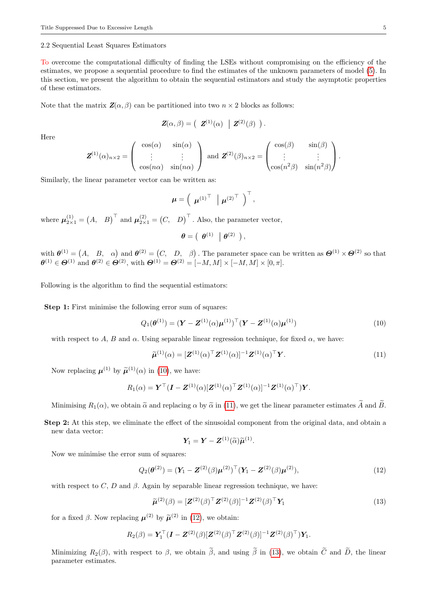### <span id="page-4-4"></span>2.2 Sequential Least Squares Estimators

To overcome the computational difficulty of finding the LSEs without compromising on the efficiency of the estimates, we propose a sequential procedure to find the estimates of the unknown parameters of model [\(5\)](#page-2-0). In this section, we present the algorithm to obtain the sequential estimators and study the asymptotic properties of these estimators.

Note that the matrix  $\mathbf{Z}(\alpha, \beta)$  can be partitioned into two  $n \times 2$  blocks as follows:

$$
\mathbf{Z}(\alpha,\beta) = \begin{pmatrix} \mathbf{Z}^{(1)}(\alpha) & \mathbf{Z}^{(2)}(\beta) \end{pmatrix}
$$

Here

$$
\mathbf{Z}^{(1)}(\alpha)_{n\times 2} = \begin{pmatrix} \cos(\alpha) & \sin(\alpha) \\ \vdots & \vdots \\ \cos(n\alpha) & \sin(n\alpha) \end{pmatrix} \text{ and } \mathbf{Z}^{(2)}(\beta)_{n\times 2} = \begin{pmatrix} \cos(\beta) & \sin(\beta) \\ \vdots & \vdots \\ \cos(n^2\beta) & \sin(n^2\beta) \end{pmatrix}.
$$

Similarly, the linear parameter vector can be written as:

$$
\boldsymbol{\mu} = \left( \begin{array}{c} \boldsymbol{\mu}^{(1)}^\top & \boldsymbol{\mu}^{(2)}^\top \end{array} \right)^\top,
$$

where  $\boldsymbol{\mu}_{2\times 1}^{(1)} = (A, B)^{\top}$  and  $\boldsymbol{\mu}_{2\times 1}^{(2)} = (C, D)^{\top}$ . Also, the parameter vector,

$$
\boldsymbol{\theta} = \left( \begin{array}{c|c} \boldsymbol{\theta}^{(1)} & \boldsymbol{\theta}^{(2)} \end{array} \right),
$$

with  $\theta^{(1)} = (A, B, \alpha)$  and  $\theta^{(2)} = (C, D, \beta)$ . The parameter space can be written as  $\Theta^{(1)} \times \Theta^{(2)}$  so that  $\boldsymbol{\theta}^{(1)} \in \boldsymbol{\Theta}^{(1)}$  and  $\boldsymbol{\theta}^{(2)} \in \boldsymbol{\Theta}^{(2)}$ , with  $\boldsymbol{\Theta}^{(1)} = \boldsymbol{\Theta}^{(2)} = [-M, M] \times [-M, M] \times [0, \pi]$ .

Following is the algorithm to find the sequential estimators:

Step 1: First minimise the following error sum of squares:

<span id="page-4-0"></span>
$$
Q_1(\boldsymbol{\theta}^{(1)}) = (\boldsymbol{Y} - \boldsymbol{Z}^{(1)}(\alpha)\boldsymbol{\mu}^{(1)})^\top (\boldsymbol{Y} - \boldsymbol{Z}^{(1)}(\alpha)\boldsymbol{\mu}^{(1)})
$$
(10)

.

with respect to A, B and  $\alpha$ . Using separable linear regression technique, for fixed  $\alpha$ , we have:

<span id="page-4-1"></span>
$$
\widetilde{\boldsymbol{\mu}}^{(1)}(\alpha) = [\boldsymbol{Z}^{(1)}(\alpha)^{\top} \boldsymbol{Z}^{(1)}(\alpha)]^{-1} \boldsymbol{Z}^{(1)}(\alpha)^{\top} \boldsymbol{Y}.
$$
\n(11)

Now replacing  $\boldsymbol{\mu}^{(1)}$  by  $\widetilde{\boldsymbol{\mu}}^{(1)}(\alpha)$  in [\(10\)](#page-4-0), we have:

$$
R_1(\alpha) = \boldsymbol{Y}^\top (\boldsymbol{I} - \boldsymbol{Z}^{(1)}(\alpha) [\boldsymbol{Z}^{(1)}(\alpha)^\top \boldsymbol{Z}^{(1)}(\alpha)]^{-1} \boldsymbol{Z}^{(1)}(\alpha)^\top) \boldsymbol{Y}.
$$

Minimising  $R_1(\alpha)$ , we obtain  $\tilde{\alpha}$  and replacing  $\alpha$  by  $\tilde{\alpha}$  in [\(11\)](#page-4-1), we get the linear parameter estimates  $\tilde{A}$  and  $\tilde{B}$ .

Step 2: At this step, we eliminate the effect of the sinusoidal component from the original data, and obtain a new data vector:

$$
\boldsymbol{Y}_1 = \boldsymbol{Y} - \boldsymbol{Z}^{(1)}(\widetilde{\alpha})\widetilde{\boldsymbol{\mu}}^{(1)}.
$$

Now we minimise the error sum of squares:

<span id="page-4-2"></span>
$$
Q_2(\boldsymbol{\theta}^{(2)}) = (\mathbf{Y}_1 - \mathbf{Z}^{(2)}(\beta)\boldsymbol{\mu}^{(2)})^\top (\mathbf{Y}_1 - \mathbf{Z}^{(2)}(\beta)\boldsymbol{\mu}^{(2)}),
$$
\n(12)

with respect to C, D and  $\beta$ . Again by separable linear regression technique, we have:

<span id="page-4-3"></span>
$$
\widetilde{\boldsymbol{\mu}}^{(2)}(\boldsymbol{\beta}) = [\boldsymbol{Z}^{(2)}(\boldsymbol{\beta})^{\top} \boldsymbol{Z}^{(2)}(\boldsymbol{\beta})]^{-1} \boldsymbol{Z}^{(2)}(\boldsymbol{\beta})^{\top} \mathbf{Y}_1
$$
\n(13)

for a fixed  $\beta$ . Now replacing  $\mu^{(2)}$  by  $\tilde{\mu}^{(2)}$  in [\(12\)](#page-4-2), we obtain:

$$
R_2(\beta) = \mathbf{Y}_1^{\top} (\mathbf{I} - \mathbf{Z}^{(2)}(\beta) [\mathbf{Z}^{(2)}(\beta)^\top \mathbf{Z}^{(2)}(\beta)]^{-1} \mathbf{Z}^{(2)}(\beta)^\top) \mathbf{Y}_1.
$$

Minimizing  $R_2(\beta)$ , with respect to  $\beta$ , we obtain  $\tilde{\beta}$ , and using  $\tilde{\beta}$  in [\(13\)](#page-4-3), we obtain  $\tilde{C}$  and  $\tilde{D}$ , the linear parameter estimates.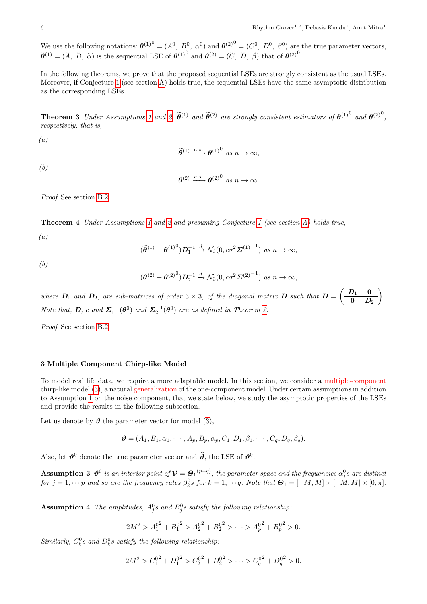We use the following notations:  $\boldsymbol{\theta}^{(1)}^0 = (A^0, B^0, \alpha^0)$  and  $\boldsymbol{\theta}^{(2)}^0 = (C^0, D^0, \beta^0)$  are the true parameter vectors,  $\widetilde{\theta}^{(1)} = (\widetilde{A}, \widetilde{B}, \widetilde{\alpha})$  is the sequential LSE of  $\theta^{(1)}$ <sup>0</sup> and  $\widetilde{\theta}^{(2)} = (\widetilde{C}, \widetilde{D}, \widetilde{\beta})$  that of  $\theta^{(2)}$ <sup>0</sup>.

In the following theorems, we prove that the proposed sequential LSEs are strongly consistent as the usual LSEs. Moreover, if Conjecture [1](#page-18-1) (see section [A\)](#page-17-1) holds true, the sequential LSEs have the same asymptotic distribution as the corresponding LSEs.

<span id="page-5-3"></span>**Theorem 3** Under Assumptions [1](#page-2-2) and [2,](#page-2-3)  $\tilde{\theta}^{(1)}$  and  $\tilde{\theta}^{(2)}$  are strongly consistent estimators of  $\theta^{(1)}$ <sup>0</sup> and  $\theta^{(2)}$ <sup>0</sup>, respectively, that is,

 $(a)$ 

$$
\widetilde{\theta}^{(1)} \xrightarrow{a.s.} \theta^{(1)^0} \text{ as } n \to \infty,
$$

(b)

$$
\widetilde{\theta}^{(2)} \xrightarrow{a.s.} \theta^{(2)} \text{ as } n \to \infty.
$$

Proof See section [B.2.](#page-21-0)

<span id="page-5-4"></span>Theorem 4 Under Assumptions [1](#page-2-2) and [2](#page-2-3) and presuming Conjecture [1](#page-18-1) (see section [A\)](#page-17-1) holds true,

(a)

$$
(\widetilde{\boldsymbol{\theta}}^{(1)} - {\boldsymbol{\theta}}^{(1)}^0) \boldsymbol{D}_1^{-1} \xrightarrow{d} \mathcal{N}_3(0, c\sigma^2 {\boldsymbol{\Sigma}}^{(1)}^{-1}) \text{ as } n \to \infty,
$$

(b)

$$
(\widetilde{\theta}^{(2)} - {\theta^{(2)}}^0) \mathcal{D}_2^{-1} \xrightarrow{d} \mathcal{N}_3(0, c\sigma^2 {\boldsymbol{\Sigma}}^{(2)}^{-1}) \text{ as } n \to \infty,
$$

where  $D_1$  and  $D_2$ , are sub-matrices of order  $3 \times 3$ , of the diagonal matrix  $D$  such that  $D = \begin{pmatrix} D_1 & 0 \\ 0 & D_1 \end{pmatrix}$  $\begin{array}{c|c} 0 & D_2 \end{array}$  $\cdot$  ) . Note that, **D**, c and  $\Sigma_1^{-1}(\boldsymbol{\theta}^0)$  and  $\Sigma_2^{-1}(\boldsymbol{\theta}^0)$  are as defined in Theorem [2.](#page-3-1)

Proof See section [B.2.](#page-21-0)

# <span id="page-5-0"></span>3 Multiple Component Chirp-like Model

To model real life data, we require a more adaptable model. In this section, we consider a multiple-component chirp-like model [\(3\)](#page-1-0), a natural generalization of the one-component model. Under certain assumptions in addition to Assumption [1](#page-2-2) on the noise component, that we state below, we study the asymptotic properties of the LSEs and provide the results in the following subsection.

Let us denote by  $\theta$  the parameter vector for model [\(3\)](#page-1-0),

$$
\boldsymbol{\vartheta} = (A_1, B_1, \alpha_1, \cdots, A_p, B_p, \alpha_p, C_1, D_1, \beta_1, \cdots, C_q, D_q, \beta_q).
$$

<span id="page-5-1"></span>Also, let  $\theta^0$  denote the true parameter vector and  $\hat{\theta}$ , the LSE of  $\theta^0$ .

**Assumption 3**  $\vartheta^0$  is an interior point of  $\mathcal{V} = \Theta_1^{(p+q)}$ , the parameter space and the frequencies  $\alpha_j^0 s$  are distinct for  $j = 1, \dots p$  and so are the frequency rates  $\beta_k^0 s$  for  $k = 1, \dots q$ . Note that  $\mathbf{\Theta}_1 = [-M, M] \times [-\dot{M}, M] \times [0, \pi]$ .

<span id="page-5-2"></span>**Assumption 4** The amplitudes,  $A_j^0s$  and  $B_j^0s$  satisfy the following relationship.

$$
2M^2 > A_1^{0^2} + B_1^{0^2} > A_2^{0^2} + B_2^{0^2} > \cdots > A_p^{0^2} + B_p^{0^2} > 0.
$$

Similarly,  $C_k^0$ s and  $D_k^0$ s satisfy the following relationship:

$$
2M^2 > C_1^{0^2} + D_1^{0^2} > C_2^{0^2} + D_2^{0^2} > \cdots > C_q^{0^2} + D_q^{0^2} > 0.
$$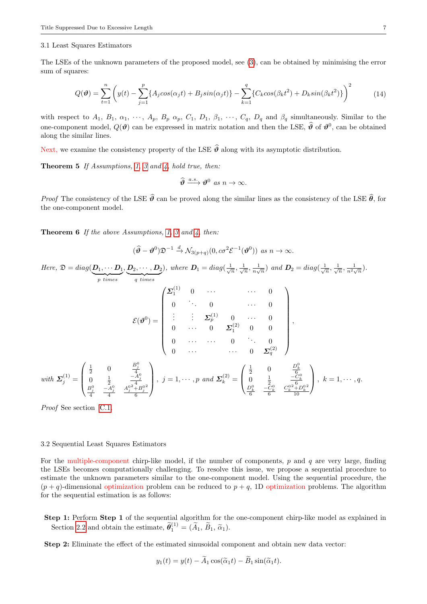#### 3.1 Least Squares Estimators

The LSEs of the unknown parameters of the proposed model, see [\(3\)](#page-1-0), can be obtained by minimising the error sum of squares:

$$
Q(\boldsymbol{\vartheta}) = \sum_{t=1}^{n} \left( y(t) - \sum_{j=1}^{p} \{ A_j \cos(\alpha_j t) + B_j \sin(\alpha_j t) \} - \sum_{k=1}^{q} \{ C_k \cos(\beta_k t^2) + D_k \sin(\beta_k t^2) \} \right)^2 \tag{14}
$$

with respect to  $A_1$ ,  $B_1$ ,  $\alpha_1$ ,  $\cdots$ ,  $A_p$ ,  $B_p$ ,  $\alpha_p$ ,  $C_1$ ,  $D_1$ ,  $\beta_1$ ,  $\cdots$ ,  $C_q$ ,  $D_q$  and  $\beta_q$  simultaneously. Similar to the one-component model,  $Q(\theta)$  can be expressed in matrix notation and then the LSE,  $\hat{\theta}$  of  $\theta^0$ , can be obtained along the similar lines.

Next, we examine the consistency property of the LSE  $\hat{\theta}$  along with its asymptotic distribution.

Theorem 5 If Assumptions, [1,](#page-2-2) [3](#page-5-1) and [4,](#page-5-2) hold true, then:

<span id="page-6-2"></span>
$$
\widehat{\boldsymbol{\vartheta}} \xrightarrow{a.s.} \boldsymbol{\vartheta}^0 \text{ as } n \to \infty.
$$

*Proof* The consistency of the LSE  $\hat{\theta}$  can be proved along the similar lines as the consistency of the LSE  $\hat{\theta}$ , for the one-component model.

<span id="page-6-0"></span>**Theorem 6** If the above Assumptions, [1,](#page-2-2) [3](#page-5-1) and [4,](#page-5-2) then:

$$
(\widehat{\boldsymbol{\vartheta}} - \boldsymbol{\vartheta}^0) \mathfrak{D}^{-1} \xrightarrow{d} \mathcal{N}_{3(p+q)}(0, c\sigma^2 \mathcal{E}^{-1}(\boldsymbol{\vartheta}^0)) \text{ as } n \to \infty.
$$

Here,  $\mathfrak{D} = diag(\boldsymbol{D}_1, \cdots \boldsymbol{D}_1)$  ${p \ times}$ ,  $\bm{D}_2, \cdots, \bm{D}_2$  ${q \ times}$ ), where  $D_1 = diag(\frac{1}{\sqrt{n}}, \frac{1}{\sqrt{n}}, \frac{1}{n\sqrt{n}})$  and  $D_2 = diag(\frac{1}{\sqrt{n}}, \frac{1}{\sqrt{n}}, \frac{1}{n^2\sqrt{n}})$ .

$$
\mathcal{E}(\boldsymbol{\vartheta}^{0}) = \begin{pmatrix} \boldsymbol{\Sigma}_{1}^{(1)} & 0 & \cdots & 0 & 0 \\ 0 & \ddots & 0 & \cdots & 0 \\ \vdots & \vdots & \boldsymbol{\Sigma}_{p}^{(1)} & 0 & \cdots & 0 \\ 0 & \cdots & 0 & \boldsymbol{\Sigma}_{1}^{(2)} & 0 & 0 \\ 0 & \cdots & \cdots & 0 & \ddots & 0 \\ 0 & \cdots & \cdots & 0 & \boldsymbol{\Sigma}_{q}^{(2)} \end{pmatrix},
$$
\nwith  $\boldsymbol{\Sigma}_{j}^{(1)} = \begin{pmatrix} \frac{1}{2} & 0 & \frac{B_{j}^{0}}{4} \\ 0 & \frac{1}{2} & -\frac{A_{j}^{0}}{4} \\ 0 & \frac{1}{2} & -\frac{A_{j}^{0}}{4} \\ \frac{B_{j}^{0}}{4} & -\frac{A_{j}^{0}}{4} & \frac{A_{j}^{02} + B_{j}^{02}}{6} \end{pmatrix}, j = 1, \cdots, p \text{ and } \boldsymbol{\Sigma}_{k}^{(2)} = \begin{pmatrix} \frac{1}{2} & 0 & \frac{D_{k}^{0}}{6} \\ 0 & \frac{1}{2} & -\frac{C_{k}^{0}}{6} \\ \frac{D_{k}^{0}}{6} & -\frac{C_{k}^{0}}{6} & \frac{C_{k}^{0} + D_{k}^{02}}{10} \end{pmatrix}, k = 1, \cdots, q.$ 

Proof See section [C.1.](#page-23-0)

### <span id="page-6-1"></span>3.2 Sequential Least Squares Estimators

For the multiple-component chirp-like model, if the number of components,  $p$  and  $q$  are very large, finding the LSEs becomes computationally challenging. To resolve this issue, we propose a sequential procedure to estimate the unknown parameters similar to the one-component model. Using the sequential procedure, the  $(p+q)$ -dimensional optimization problem can be reduced to  $p+q$ , 1D optimization problems. The algorithm for the sequential estimation is as follows:

Step 1: Perform Step 1 of the sequential algorithm for the one-component chirp-like model as explained in Section [2.2](#page-4-4) and obtain the estimate,  $\tilde{\theta}_1^{(1)} = (\tilde{A}_1, \tilde{B}_1, \tilde{\alpha}_1)$ .

Step 2: Eliminate the effect of the estimated sinusoidal component and obtain new data vector:

$$
y_1(t) = y(t) - \tilde{A}_1 \cos(\tilde{\alpha}_1 t) - \tilde{B}_1 \sin(\tilde{\alpha}_1 t).
$$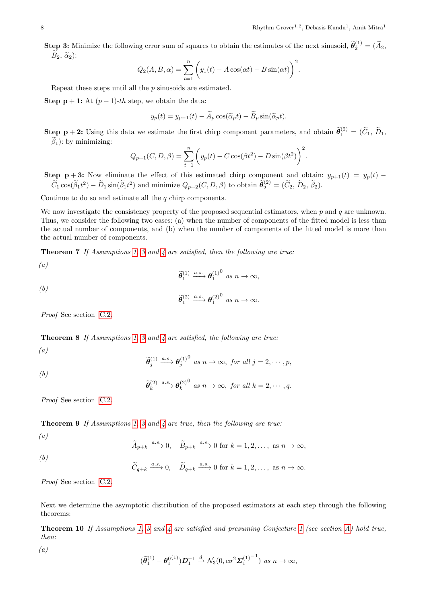**Step 3:** Minimize the following error sum of squares to obtain the estimates of the next sinusoid,  $\widetilde{\theta}_2^{(1)} = (\widetilde{A}_2, \widetilde{A}_3)$  $B_2, \tilde{\alpha}_2$ :

$$
Q_2(A, B, \alpha) = \sum_{t=1}^n \left( y_1(t) - A\cos(\alpha t) - B\sin(\alpha t) \right)^2.
$$

Repeat these steps until all the p sinusoids are estimated.

**Step p** + 1: At  $(p+1)$ -th step, we obtain the data:

$$
y_p(t) = y_{p-1}(t) - \widetilde{A}_p \cos(\widetilde{\alpha}_p t) - \widetilde{B}_p \sin(\widetilde{\alpha}_p t).
$$

**Step p** + 2: Using this data we estimate the first chirp component parameters, and obtain  $\widetilde{\theta}_1^{(2)} = (\widetilde{C}_1, \widetilde{D}_1, \widetilde{C}_2)$  $\beta_1$ ): by minimizing:

$$
Q_{p+1}(C, D, \beta) = \sum_{t=1}^{n} \left( y_p(t) - C \cos(\beta t^2) - D \sin(\beta t^2) \right)^2.
$$

Step p + 3: Now eliminate the effect of this estimated chirp component and obtain:  $y_{p+1}(t) = y_p(t)$  –  $\widetilde{C}_1 \cos(\widetilde{\beta}_1 t^2) - \widetilde{D}_1 \sin(\widetilde{\beta}_1 t^2)$  and minimize  $Q_{p+2}(C, D, \beta)$  to obtain  $\widetilde{\theta}_2^{(2)} = (\widetilde{C}_2, \widetilde{D}_2, \widetilde{\beta}_2)$ .

Continue to do so and estimate all the  $q$  chirp components.

We now investigate the consistency property of the proposed sequential estimators, when  $p$  and  $q$  are unknown. Thus, we consider the following two cases: (a) when the number of components of the fitted model is less than the actual number of components, and (b) when the number of components of the fitted model is more than the actual number of components.

<span id="page-7-1"></span>**Theorem 7** If Assumptions [1,](#page-2-2) [3](#page-5-1) and [4](#page-5-2) are satisfied, then the following are true:

(a)  

$$
\widetilde{\theta}_1^{(1)} \xrightarrow{a.s.} \theta_1^{(1)^0} \text{ as } n \to \infty,
$$

(b) 
$$
\widetilde{\theta}_1^{(2)} \xrightarrow{a.s.} \theta_1^{(2)^0} \text{ as } n \to \infty.
$$

Proof See section [C.2.](#page-24-0)

<span id="page-7-2"></span>Theorem 8 If Assumptions [1,](#page-2-2) [3](#page-5-1) and [4](#page-5-2) are satisfied, the following are true:

$$
\left( a\right)
$$

$$
\widetilde{\theta}_{j}^{(1)} \xrightarrow{a.s.} \theta_{j}^{(1)} \text{ as } n \to \infty, \text{ for all } j = 2, \cdots, p,
$$

$$
(b)
$$

$$
\widetilde{\theta}_k^{(2)} \xrightarrow{a.s.} \theta_k^{(2)}^0 \text{ as } n \to \infty, \text{ for all } k = 2, \cdots, q.
$$

Proof See section [C.2.](#page-24-0)

<span id="page-7-3"></span>Theorem 9 If Assumptions [1,](#page-2-2) [3](#page-5-1) and [4](#page-5-2) are true, then the following are true:

(a)

(a)

$$
\widetilde{A}_{p+k} \xrightarrow{a.s.} 0, \quad \widetilde{B}_{p+k} \xrightarrow{a.s.} 0 \text{ for } k = 1, 2, \dots, \text{ as } n \to \infty,
$$
  
(b)

 $\widetilde{C}_{q+k} \xrightarrow{a.s.} 0, \quad \widetilde{D}_{q+k} \xrightarrow{a.s.} 0 \text{ for } k = 1, 2, \dots, \text{ as } n \to \infty.$ 

Proof See section [C.2.](#page-24-0)

Next we determine the asymptotic distribution of the proposed estimators at each step through the following theorems:

<span id="page-7-0"></span>Theorem 10 If Assumptions [1,](#page-2-2) [3](#page-5-1) and [4](#page-5-2) are satisfied and presuming Conjecture [1](#page-18-1) (see section [A\)](#page-17-1) hold true, then:

$$
(\widetilde{\theta}_1^{(1)} - \theta_1^{0(1)}) \mathcal{D}_1^{-1} \xrightarrow{d} \mathcal{N}_3(0, c\sigma^2 {\boldsymbol{\Sigma}_1^{(1)}}^{-1}) \text{ as } n \to
$$

 $\infty$ .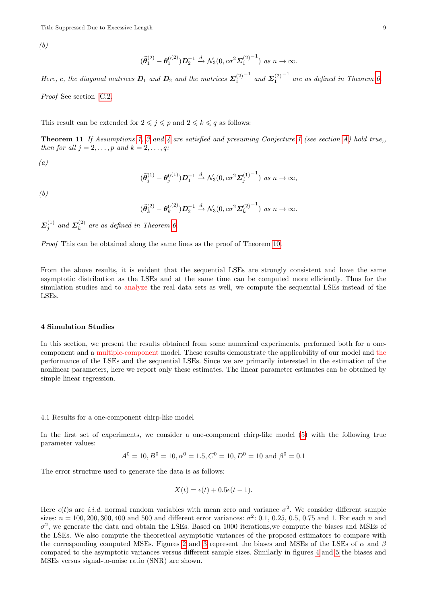(b)

$$
(\widetilde{\boldsymbol{\theta}}_1^{(2)} - {\boldsymbol{\theta}}_1^{0(2)}) \mathbf{D}_2^{-1} \xrightarrow{d} \mathcal{N}_3(0, c\sigma^2 {\boldsymbol{\Sigma}_1^{(2)}}^{-1}) \text{ as } n \to \infty.
$$

Here, c, the diagonal matrices  $D_1$  and  $D_2$  and the matrices  $\Sigma_1^{(2)}$  $^{-1}$  and  $\Sigma_1^{(2)}$  $-1$  are as defined in Theorem [6.](#page-6-0)

Proof See section [C.2.](#page-24-0)

This result can be extended for  $2 \leq j \leq p$  and  $2 \leq k \leq q$  as follows:

Theorem 11 If Assumptions [1,](#page-2-2) [3](#page-5-1) and [4](#page-5-2) are satisfied and presuming Conjecture [1](#page-18-1) (see section [A\)](#page-17-1) hold true, then for all  $j = 2, \ldots, p$  and  $k = 2, \ldots, q$ :

(a)

$$
(\widetilde{\boldsymbol{\theta}}_j^{(1)} - {\boldsymbol{\theta}}_j^{0^{(1)}}) \boldsymbol{D}_1^{-1} \xrightarrow{d} \mathcal{N}_3(0, c\sigma^2 {\boldsymbol{\Sigma}}_j^{(1)}^{-1}) \text{ as } n \to \infty,
$$

(b)

$$
(\widetilde{\boldsymbol{\theta}}_k^{(2)} - {\boldsymbol{\theta}}_k^{0^{(2)}}) \boldsymbol{D}_2^{-1} \xrightarrow{d} \mathcal{N}_3(0, c\sigma^2 {\boldsymbol{\Sigma}_k^{(2)}}^{-1}) \text{ as } n \to \infty.
$$

 $\mathbf{\Sigma}_{j}^{(1)}$  and  $\mathbf{\Sigma}_{k}^{(2)}$  $\binom{1}{k}$  are as defined in Theorem [6.](#page-6-0)

Proof This can be obtained along the same lines as the proof of Theorem [10.](#page-7-0)

From the above results, it is evident that the sequential LSEs are strongly consistent and have the same asymptotic distribution as the LSEs and at the same time can be computed more efficiently. Thus for the simulation studies and to analyze the real data sets as well, we compute the sequential LSEs instead of the LSEs.

# <span id="page-8-0"></span>4 Simulation Studies

In this section, we present the results obtained from some numerical experiments, performed both for a onecomponent and a multiple-component model. These results demonstrate the applicability of our model and the performance of the LSEs and the sequential LSEs. Since we are primarily interested in the estimation of the nonlinear parameters, here we report only these estimates. The linear parameter estimates can be obtained by simple linear regression.

#### 4.1 Results for a one-component chirp-like model

In the first set of experiments, we consider a one-component chirp-like model [\(5\)](#page-2-0) with the following true parameter values:

$$
A^0 = 10, B^0 = 10, \alpha^0 = 1.5, C^0 = 10, D^0 = 10
$$
 and  $\beta^0 = 0.1$ 

The error structure used to generate the data is as follows:

$$
X(t) = \epsilon(t) + 0.5\epsilon(t - 1).
$$

Here  $\epsilon(t)$ s are *i.i.d.* normal random variables with mean zero and variance  $\sigma^2$ . We consider different sample sizes:  $n = 100, 200, 300, 400$  and 500 and different error variances:  $\sigma^2$ : 0.1, 0.25, 0.5, 0.75 and 1. For each n and  $\sigma^2$ , we generate the data and obtain the LSEs. Based on 1000 iterations, we compute the biases and MSEs of the LSEs. We also compute the theoretical asymptotic variances of the proposed estimators to compare with the corresponding computed MSEs. Figures [2](#page-9-0) and [3](#page-9-1) represent the biases and MSEs of the LSEs of  $\alpha$  and  $\beta$ compared to the asymptotic variances versus different sample sizes. Similarly in figures [4](#page-9-2) and [5](#page-9-3) the biases and MSEs versus signal-to-noise ratio (SNR) are shown.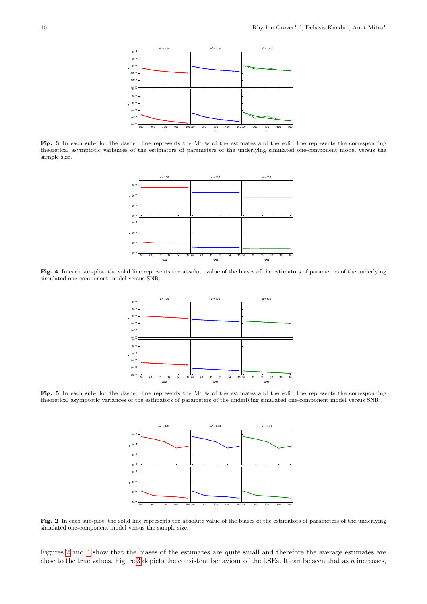

<span id="page-9-1"></span>Fig. 3 In each sub-plot the dashed line represents the MSEs of the estimates and the solid line represents the corresponding theoretical asymptotic variances of the estimators of parameters of the underlying simulated one-component model versus the sample size.



<span id="page-9-2"></span>Fig. 4 In each sub-plot, the solid line represents the absolute value of the biases of the estimators of parameters of the underlying simulated one-component model versus SNR.



<span id="page-9-3"></span>Fig. 5 In each sub-plot the dashed line represents the MSEs of the estimates and the solid line represents the corresponding theoretical asymptotic variances of the estimators of parameters of the underlying simulated one-component model versus SNR.



<span id="page-9-0"></span>Fig. 2 In each sub-plot, the solid line represents the absolute value of the biases of the estimators of parameters of the underlying simulated one-component model versus the sample size.

Figures [2](#page-9-0) and [4](#page-9-2) show that the biases of the estimates are quite small and therefore the average estimates are close to the true values. Figure [3](#page-9-1) depicts the consistent behaviour of the LSEs. It can be seen that as  $n$  increases,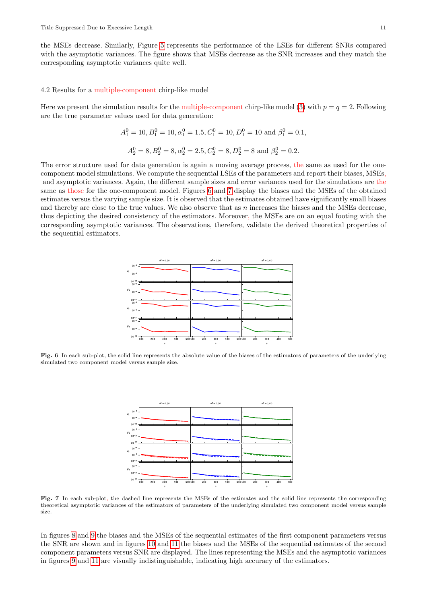the MSEs decrease. Similarly, Figure [5](#page-9-3) represents the performance of the LSEs for different SNRs compared with the asymptotic variances. The figure shows that MSEs decrease as the SNR increases and they match the corresponding asymptotic variances quite well.

### 4.2 Results for a multiple-component chirp-like model

Here we present the simulation results for the multiple-component chirp-like model [\(3\)](#page-1-0) with  $p = q = 2$ . Following are the true parameter values used for data generation:

$$
A_1^0 = 10, B_1^0 = 10, \alpha_1^0 = 1.5, C_1^0 = 10, D_1^0 = 10
$$
 and  $\beta_1^0 = 0.1$ ,  
 $A_2^0 = 8, B_2^0 = 8, \alpha_2^0 = 2.5, C_2^0 = 8, D_2^0 = 8$  and  $\beta_2^0 = 0.2$ .

The error structure used for data generation is again a moving average process, the same as used for the onecomponent model simulations. We compute the sequential LSEs of the parameters and report their biases, MSEs, and asymptotic variances. Again, the different sample sizes and error variances used for the simulations are the same as those for the one-component model. Figures [6](#page-10-0) and [7](#page-10-1) display the biases and the MSEs of the obtained estimates versus the varying sample size. It is observed that the estimates obtained have significantly small biases and thereby are close to the true values. We also observe that as n increases the biases and the MSEs decrease, thus depicting the desired consistency of the estimators. Moreover, the MSEs are on an equal footing with the corresponding asymptotic variances. The observations, therefore, validate the derived theoretical properties of the sequential estimators.



<span id="page-10-0"></span>Fig. 6 In each sub-plot, the solid line represents the absolute value of the biases of the estimators of parameters of the underlying simulated two component model versus sample size.



<span id="page-10-1"></span>Fig. 7 In each sub-plot, the dashed line represents the MSEs of the estimates and the solid line represents the corresponding theoretical asymptotic variances of the estimators of parameters of the underlying simulated two component model versus sample size.

In figures [8](#page-11-0) and [9](#page-11-1) the biases and the MSEs of the sequential estimates of the first component parameters versus the SNR are shown and in figures [10](#page-11-2) and [11](#page-11-3) the biases and the MSEs of the sequential estimates of the second component parameters versus SNR are displayed. The lines representing the MSEs and the asymptotic variances in figures [9](#page-11-1) and [11](#page-11-3) are visually indistinguishable, indicating high accuracy of the estimators.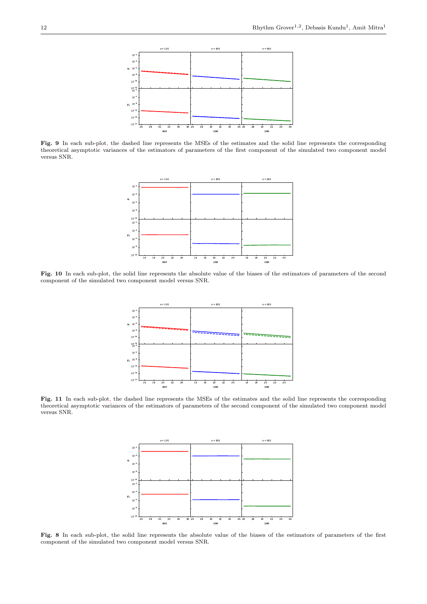

<span id="page-11-1"></span>Fig. 9 In each sub-plot, the dashed line represents the MSEs of the estimates and the solid line represents the corresponding theoretical asymptotic variances of the estimators of parameters of the first component of the simulated two component model versus SNR.



<span id="page-11-2"></span>Fig. 10 In each sub-plot, the solid line represents the absolute value of the biases of the estimators of parameters of the second component of the simulated two component model versus SNR.



<span id="page-11-3"></span>Fig. 11 In each sub-plot, the dashed line represents the MSEs of the estimates and the solid line represents the corresponding theoretical asymptotic variances of the estimators of parameters of the second component of the simulated two component model versus SNR.



<span id="page-11-0"></span>Fig. 8 In each sub-plot, the solid line represents the absolute value of the biases of the estimators of parameters of the first component of the simulated two component model versus SNR.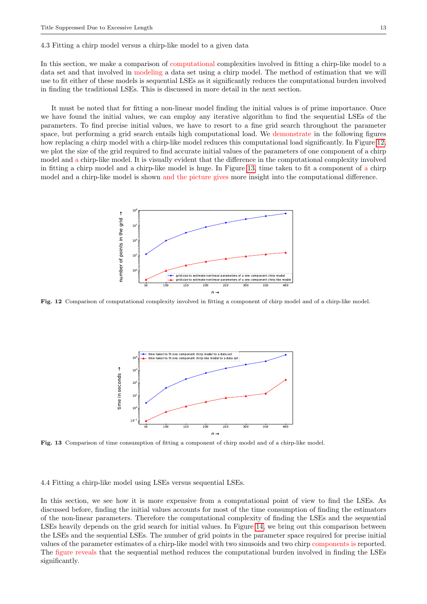#### 4.3 Fitting a chirp model versus a chirp-like model to a given data

In this section, we make a comparison of computational complexities involved in fitting a chirp-like model to a data set and that involved in modeling a data set using a chirp model. The method of estimation that we will use to fit either of these models is sequential LSEs as it significantly reduces the computational burden involved in finding the traditional LSEs. This is discussed in more detail in the next section.

It must be noted that for fitting a non-linear model finding the initial values is of prime importance. Once we have found the initial values, we can employ any iterative algorithm to find the sequential LSEs of the parameters. To find precise initial values, we have to resort to a fine grid search throughout the parameter space, but performing a grid search entails high computational load. We demonstrate in the following figures how replacing a chirp model with a chirp-like model reduces this computational load significantly. In Figure [12,](#page-12-0) we plot the size of the grid required to find accurate initial values of the parameters of one component of a chirp model and a chirp-like model. It is visually evident that the difference in the computational complexity involved in fitting a chirp model and a chirp-like model is huge. In Figure [13,](#page-12-1) time taken to fit a component of a chirp model and a chirp-like model is shown and the picture gives more insight into the computational difference.



<span id="page-12-0"></span>Fig. 12 Comparison of computational complexity involved in fitting a component of chirp model and of a chirp-like model.



<span id="page-12-1"></span>Fig. 13 Comparison of time consumption of fitting a component of chirp model and of a chirp-like model.

4.4 Fitting a chirp-like model using LSEs versus sequential LSEs.

In this section, we see how it is more expensive from a computational point of view to find the LSEs. As discussed before, finding the initial values accounts for most of the time consumption of finding the estimators of the non-linear parameters. Therefore the computational complexity of finding the LSEs and the sequential LSEs heavily depends on the grid search for initial values. In Figure [14,](#page-13-1) we bring out this comparison between the LSEs and the sequential LSEs. The number of grid points in the parameter space required for precise initial values of the parameter estimates of a chirp-like model with two sinusoids and two chirp components is reported. The figure reveals that the sequential method reduces the computational burden involved in finding the LSEs significantly.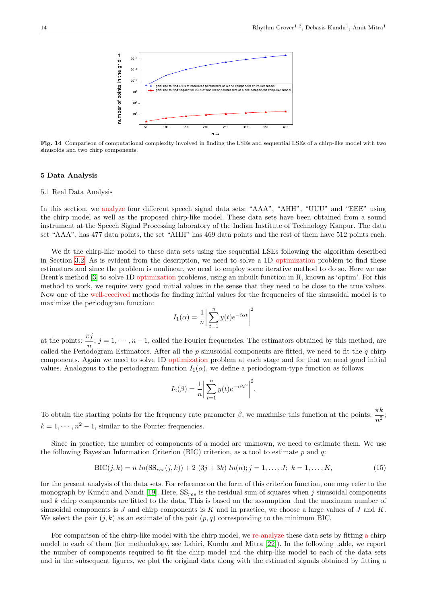

<span id="page-13-1"></span>Fig. 14 Comparison of computational complexity involved in finding the LSEs and sequential LSEs of a chirp-like model with two sinusoids and two chirp components.

# <span id="page-13-0"></span>5 Data Analysis

#### 5.1 Real Data Analysis

In this section, we analyze four different speech signal data sets: "AAA", "AHH", "UUU" and "EEE" using the chirp model as well as the proposed chirp-like model. These data sets have been obtained from a sound instrument at the Speech Signal Processing laboratory of the Indian Institute of Technology Kanpur. The data set "AAA", has 477 data points, the set "AHH" has 469 data points and the rest of them have 512 points each.

We fit the chirp-like model to these data sets using the sequential LSEs following the algorithm described in Section [3.2.](#page-6-1) As is evident from the description, we need to solve a 1D optimization problem to find these estimators and since the problem is nonlinear, we need to employ some iterative method to do so. Here we use Brent's method [\[3\]](#page-26-24) to solve 1D optimization problems, using an inbuilt function in R, known as 'optim'. For this method to work, we require very good initial values in the sense that they need to be close to the true values. Now one of the well-received methods for finding initial values for the frequencies of the sinusoidal model is to maximize the periodogram function:

$$
I_1(\alpha) = \frac{1}{n} \left| \sum_{t=1}^{n} y(t) e^{-i\alpha t} \right|^2
$$

at the points:  $\frac{\pi j}{n}$ ;  $j = 1, \dots, n-1$ , called the Fourier frequencies. The estimators obtained by this method, are called the Periodogram Estimators. After all the p sinusoidal components are fitted, we need to fit the q chirp components. Again we need to solve 1D optimization problem at each stage and for that we need good initial values. Analogous to the periodogram function  $I_1(\alpha)$ , we define a periodogram-type function as follows:

$$
I_2(\beta) = \frac{1}{n} \left| \sum_{t=1}^n y(t) e^{-i\beta t^2} \right|^2.
$$

To obtain the starting points for the frequency rate parameter  $\beta$ , we maximise this function at the points:  $\frac{\pi k}{n^2}$ ;  $k = 1, \dots, n^2 - 1$ , similar to the Fourier frequencies.

Since in practice, the number of components of a model are unknown, we need to estimate them. We use the following Bayesian Information Criterion (BIC) criterion, as a tool to estimate  $p$  and  $q$ :

$$
BIC(j,k) = n \ln(SS_{res}(j,k)) + 2 (3j + 3k) \ln(n); j = 1,...,J; k = 1,...,K,
$$
\n(15)

<span id="page-13-2"></span>for the present analysis of the data sets. For reference on the form of this criterion function, one may refer to the monograph by Kundu and Nandi [\[19\]](#page-26-4). Here,  $SS_{res}$  is the residual sum of squares when j sinusoidal components and k chirp components are fitted to the data. This is based on the assumption that the maximum number of sinusoidal components is  $J$  and chirp components is  $K$  and in practice, we choose a large values of  $J$  and  $K$ . We select the pair  $(j, k)$  as an estimate of the pair  $(p, q)$  corresponding to the minimum BIC.

For comparison of the chirp-like model with the chirp model, we re-analyze these data sets by fitting a chirp model to each of them (for methodology, see Lahiri, Kundu and Mitra [\[22\]](#page-26-21)). In the following table, we report the number of components required to fit the chirp model and the chirp-like model to each of the data sets and in the subsequent figures, we plot the original data along with the estimated signals obtained by fitting a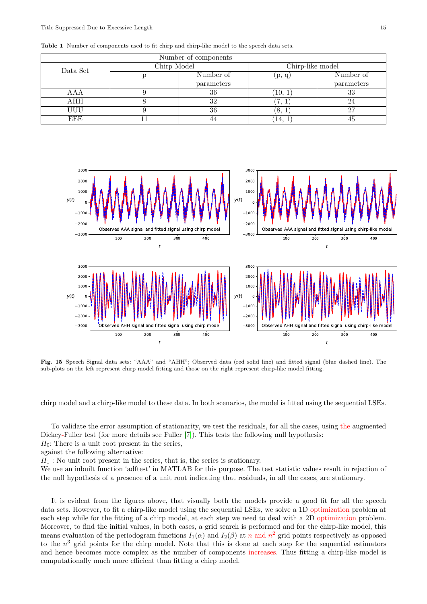| Number of components |             |            |                  |            |  |  |  |
|----------------------|-------------|------------|------------------|------------|--|--|--|
| Data Set             | Chirp Model |            | Chirp-like model |            |  |  |  |
|                      |             | Number of  | (p, q)           | Number of  |  |  |  |
|                      |             | parameters |                  | parameters |  |  |  |
| AAA                  |             | 36         | (10, 1)          | 33         |  |  |  |
| AHH                  |             | 32         | $\cdot$          | 24         |  |  |  |
| UUU                  |             | 36         | ΄8,              | 27         |  |  |  |
| EEE                  |             |            | 14,              | 45         |  |  |  |

Table 1 Number of components used to fit chirp and chirp-like model to the speech data sets.



Fig. 15 Speech Signal data sets: "AAA" and "AHH"; Observed data (red solid line) and fitted signal (blue dashed line). The sub-plots on the left represent chirp model fitting and those on the right represent chirp-like model fitting.

chirp model and a chirp-like model to these data. In both scenarios, the model is fitted using the sequential LSEs.

To validate the error assumption of stationarity, we test the residuals, for all the cases, using the augmented Dickey-Fuller test (for more details see Fuller [\[7\]](#page-26-25)). This tests the following null hypothesis:

 $H_0$ : There is a unit root present in the series,

against the following alternative:

 $H_1$ : No unit root present in the series, that is, the series is stationary.

We use an inbuilt function 'adftest' in MATLAB for this purpose. The test statistic values result in rejection of the null hypothesis of a presence of a unit root indicating that residuals, in all the cases, are stationary.

It is evident from the figures above, that visually both the models provide a good fit for all the speech data sets. However, to fit a chirp-like model using the sequential LSEs, we solve a 1D optimization problem at each step while for the fitting of a chirp model, at each step we need to deal with a 2D optimization problem. Moreover, to find the initial values, in both cases, a grid search is performed and for the chirp-like model, this means evaluation of the periodogram functions  $I_1(\alpha)$  and  $I_2(\beta)$  at n and  $n^2$  grid points respectively as opposed to the  $n^3$  grid points for the chirp model. Note that this is done at each step for the sequential estimators and hence becomes more complex as the number of components increases. Thus fitting a chirp-like model is computationally much more efficient than fitting a chirp model.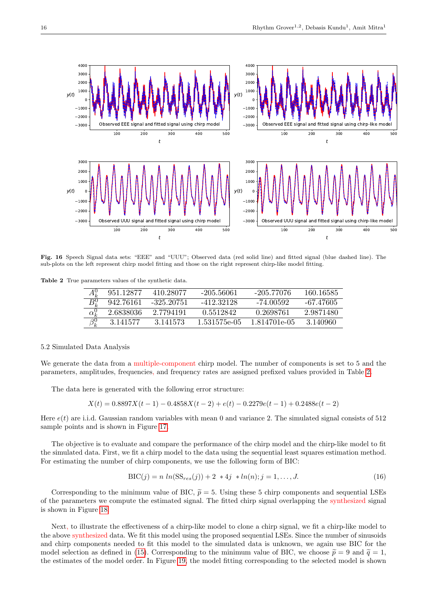

Fig. 16 Speech Signal data sets: "EEE" and "UUU"; Observed data (red solid line) and fitted signal (blue dashed line). The sub-plots on the left represent chirp model fitting and those on the right represent chirp-like model fitting.

Table 2 True parameters values of the synthetic data.

<span id="page-15-0"></span>

|                         | 951.12877 | 410.28077    | -205.56061   | -205.77076   | 160.16585 |
|-------------------------|-----------|--------------|--------------|--------------|-----------|
| $B^0_\nu$               | 942.76161 | $-325.20751$ | -412.32128   | -74.00592    | -67.47605 |
| $\overline{\alpha^0_k}$ | 2.6838036 | 2.7794191    | 0.5512842    | 0.2698761    | 2.9871480 |
| $\beta_k^0$             | 3.141577  | 3.141573     | 1.531575e-05 | 1.814701e-05 | -3.140960 |

#### 5.2 Simulated Data Analysis

We generate the data from a multiple-component chirp model. The number of components is set to 5 and the parameters, amplitudes, frequencies, and frequency rates are assigned prefixed values provided in Table [2.](#page-15-0)

The data here is generated with the following error structure:

$$
X(t) = 0.8897X(t-1) - 0.4858X(t-2) + e(t) - 0.2279e(t-1) + 0.2488e(t-2)
$$

Here  $e(t)$  are i.i.d. Gaussian random variables with mean 0 and variance 2. The simulated signal consists of 512 sample points and is shown in Figure [17.](#page-16-0)

The objective is to evaluate and compare the performance of the chirp model and the chirp-like model to fit the simulated data. First, we fit a chirp model to the data using the sequential least squares estimation method. For estimating the number of chirp components, we use the following form of BIC:

$$
BIC(j) = n \ln(SS_{res}(j)) + 2 * 4j * ln(n); j = 1, ..., J.
$$
\n(16)

Corresponding to the minimum value of BIC,  $\tilde{p} = 5$ . Using these 5 chirp components and sequential LSEs of the parameters we compute the estimated signal. The fitted chirp signal overlapping the synthesized signal is shown in Figure [18.](#page-16-1)

Next, to illustrate the effectiveness of a chirp-like model to clone a chirp signal, we fit a chirp-like model to the above synthesized data. We fit this model using the proposed sequential LSEs. Since the number of sinusoids and chirp components needed to fit this model to the simulated data is unknown, we again use BIC for the model selection as defined in [\(15\)](#page-13-2). Corresponding to the minimum value of BIC, we choose  $\tilde{p} = 9$  and  $\tilde{q} = 1$ , the estimates of the model order. In Figure [19,](#page-16-2) the model fitting corresponding to the selected model is shown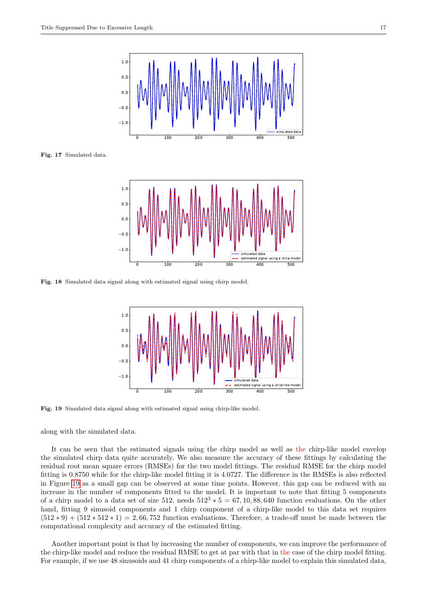<span id="page-16-0"></span>Fig. 17 Simulated data.





<span id="page-16-1"></span>Fig. 18 Simulated data signal along with estimated signal using chirp model.



<span id="page-16-2"></span>Fig. 19 Simulated data signal along with estimated signal using chirp-like model.

along with the simulated data.

It can be seen that the estimated signals using the chirp model as well as the chirp-like model envelop the simulated chirp data quite accurately. We also measure the accuracy of these fittings by calculating the residual root mean square errors (RMSEs) for the two model fittings. The residual RMSE for the chirp model fitting is 0.8750 while for the chirp-like model fitting it is 4.0727. The difference in the RMSEs is also reflected in Figure [19](#page-16-2) as a small gap can be observed at some time points. However, this gap can be reduced with an increase in the number of components fitted to the model. It is important to note that fitting 5 components of a chirp model to a data set of size  $512$ , needs  $512^3 * 5 = 67, 10, 88, 640$  function evaluations. On the other hand, fitting 9 sinusoid components and 1 chirp component of a chirp-like model to this data set requires  $(512 * 9) + (512 * 512 * 1) = 2,66,752$  function evaluations. Therefore, a trade-off must be made between the computational complexity and accuracy of the estimated fitting.

Another important point is that by increasing the number of components, we can improve the performance of the chirp-like model and reduce the residual RMSE to get at par with that in the case of the chirp model fitting. For example, if we use 48 sinusoids and 41 chirp components of a chirp-like model to explain this simulated data,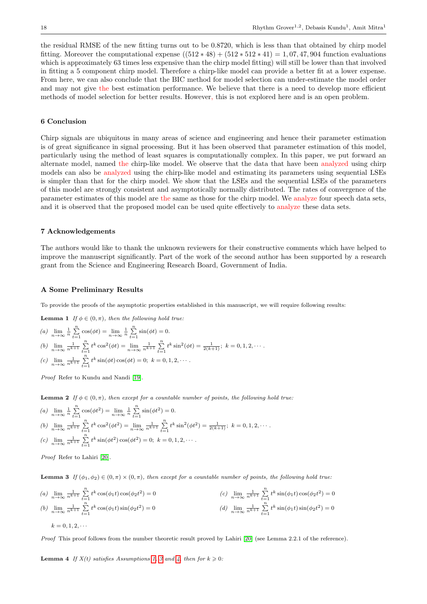the residual RMSE of the new fitting turns out to be 0.8720, which is less than that obtained by chirp model fitting. Moreover the computational expense  $((512 * 48) + (512 * 512 * 41) = 1,07,47,904$  function evaluations which is approximately 63 times less expensive than the chirp model fitting) will still be lower than that involved in fitting a 5 component chirp model. Therefore a chirp-like model can provide a better fit at a lower expense. From here, we can also conclude that the BIC method for model selection can under-estimate the model order and may not give the best estimation performance. We believe that there is a need to develop more efficient methods of model selection for better results. However, this is not explored here and is an open problem.

# <span id="page-17-0"></span>6 Conclusion

Chirp signals are ubiquitous in many areas of science and engineering and hence their parameter estimation is of great significance in signal processing. But it has been observed that parameter estimation of this model, particularly using the method of least squares is computationally complex. In this paper, we put forward an alternate model, named the chirp-like model. We observe that the data that have been analyzed using chirp models can also be analyzed using the chirp-like model and estimating its parameters using sequential LSEs is simpler than that for the chirp model. We show that the LSEs and the sequential LSEs of the parameters of this model are strongly consistent and asymptotically normally distributed. The rates of convergence of the parameter estimates of this model are the same as those for the chirp model. We analyze four speech data sets, and it is observed that the proposed model can be used quite effectively to analyze these data sets.

### 7 Acknowledgements

The authors would like to thank the unknown reviewers for their constructive comments which have helped to improve the manuscript significantly. Part of the work of the second author has been supported by a research grant from the Science and Engineering Research Board, Government of India.

# <span id="page-17-1"></span>A Some Preliminary Results

<span id="page-17-3"></span>To provide the proofs of the asymptotic properties established in this manuscript, we will require following results:

**Lemma 1** If  $\phi \in (0, \pi)$ , then the following hold true:

(a) 
$$
\lim_{n \to \infty} \frac{1}{n} \sum_{t=1}^{n} \cos(\phi t) = \lim_{n \to \infty} \frac{1}{n} \sum_{t=1}^{n} \sin(\phi t) = 0.
$$
  
\n(b)  $\lim_{n \to \infty} \frac{1}{n^{k+1}} \sum_{t=1}^{n} t^k \cos^2(\phi t) = \lim_{n \to \infty} \frac{1}{n^{k+1}} \sum_{t=1}^{n} t^k \sin^2(\phi t) = \frac{1}{2(k+1)}; k = 0, 1, 2, \cdots.$   
\n(c)  $\lim_{n \to \infty} \frac{1}{n^{k+1}} \sum_{t=1}^{n} t^k \sin(\phi t) \cos(\phi t) = 0; k = 0, 1, 2, \cdots.$ 

Proof Refer to Kundu and Nandi [\[19\]](#page-26-4).

<span id="page-17-4"></span>**Lemma 2** If  $\phi \in (0, \pi)$ , then except for a countable number of points, the following hold true:

(a) 
$$
\lim_{n \to \infty} \frac{1}{n} \sum_{t=1}^{n} \cos(\phi t^2) = \lim_{n \to \infty} \frac{1}{n} \sum_{t=1}^{n} \sin(\phi t^2) = 0.
$$
  
\n(b)  $\lim_{n \to \infty} \frac{1}{n^{k+1}} \sum_{t=1}^{n} t^k \cos^2(\phi t^2) = \lim_{n \to \infty} \frac{1}{n^{k+1}} \sum_{t=1}^{n} t^k \sin^2(\phi t^2) = \frac{1}{2(k+1)}; k = 0, 1, 2, \cdots.$   
\n(c)  $\lim_{n \to \infty} \frac{1}{n^{k+1}} \sum_{t=1}^{n} t^k \sin(\phi t^2) \cos(\phi t^2) = 0; k = 0, 1, 2, \cdots.$ 

Proof Refer to Lahiri [\[20\]](#page-26-26).

<span id="page-17-5"></span>**Lemma 3** If  $(\phi_1, \phi_2) \in (0, \pi) \times (0, \pi)$ , then except for a countable number of points, the following hold true:

(a) 
$$
\lim_{n \to \infty} \frac{1}{n^{k+1}} \sum_{t=1}^{n} t^k \cos(\phi_1 t) \cos(\phi_2 t^2) = 0
$$
  
\n(b)  $\lim_{n \to \infty} \frac{1}{n^{k+1}} \sum_{t=1}^{n} t^k \cos(\phi_1 t) \sin(\phi_2 t^2) = 0$   
\n(c)  $\lim_{n \to \infty} \frac{1}{n^{k+1}} \sum_{t=1}^{n} t^k \sin(\phi_1 t) \cos(\phi_2 t^2) = 0$   
\n(d)  $\lim_{n \to \infty} \frac{1}{n^{k+1}} \sum_{t=1}^{n} t^k \sin(\phi_1 t) \sin(\phi_2 t^2) = 0$   
\n $k = 0, 1, 2, \dots$ 

Proof This proof follows from the number theoretic result proved by Lahiri [\[20\]](#page-26-26) (see Lemma 2.2.1 of the reference).

<span id="page-17-2"></span>**Lemma 4** If  $X(t)$  satisfies Assumptions [1,](#page-2-2) [3](#page-5-1) and [4,](#page-5-2) then for  $k \geq 0$ :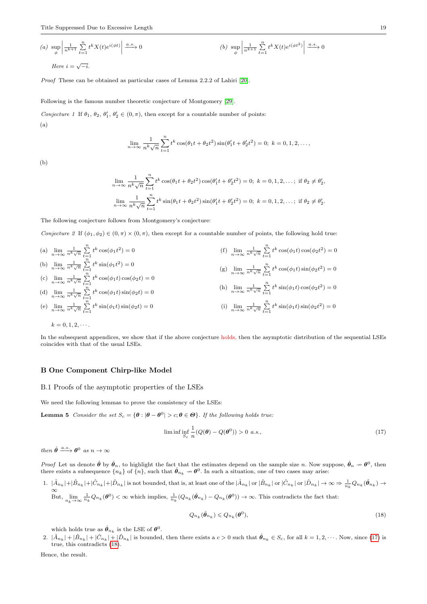(a) 
$$
\sup_{\phi} \left| \frac{1}{n^{k+1}} \sum_{t=1}^{n} t^k X(t) e^{i(\phi t)} \right| \xrightarrow{a.s.} 0
$$
  
\n(b)  $\sup_{\phi} \left| \frac{1}{n^{k+1}} \sum_{t=1}^{n} t^k X(t) e^{i(\phi t^2)} \right| \xrightarrow{a.s.} 0$   
\nHere  $i = \sqrt{-i}$ .

Proof These can be obtained as particular cases of Lemma 2.2.2 of Lahiri [\[20\]](#page-26-26).

Following is the famous number theoretic conjecture of Montgomery [\[29\]](#page-26-27).

Conjecture 1 If  $\theta_1$ ,  $\theta_2$ ,  $\theta'_1$ ,  $\theta'_2 \in (0, \pi)$ , then except for a countable number of points: (a)

<span id="page-18-1"></span>
$$
\lim_{n \to \infty} \frac{1}{n^k \sqrt{n}} \sum_{t=1}^n t^k \cos(\theta_1 t + \theta_2 t^2) \sin(\theta_1' t + \theta_2' t^2) = 0; \ k = 0, 1, 2, \dots,
$$

(b)

<span id="page-18-5"></span>
$$
\lim_{n \to \infty} \frac{1}{n^k \sqrt{n}} \sum_{t=1}^n t^k \cos(\theta_1 t + \theta_2 t^2) \cos(\theta_1' t + \theta_2' t^2) = 0; \ k = 0, 1, 2, \dots; \text{ if } \theta_2 \neq \theta_2',
$$
  

$$
\lim_{n \to \infty} \frac{1}{n^k \sqrt{n}} \sum_{t=1}^n t^k \sin(\theta_1 t + \theta_2 t^2) \sin(\theta_1' t + \theta_2' t^2) = 0; \ k = 0, 1, 2, \dots; \text{ if } \theta_2 \neq \theta_2'.
$$

The following conjecture follows from Montgomery's conjecture:

Conjecture 2 If  $(\phi_1, \phi_2) \in (0, \pi) \times (0, \pi)$ , then except for a countable number of points, the following hold true:

(a) 
$$
\lim_{n \to \infty} \frac{1}{n^k \sqrt{n}} \sum_{t=1}^n t^k \cos(\phi_1 t^2) = 0
$$
  
\n(b)  $\lim_{n \to \infty} \frac{1}{n^k \sqrt{n}} \sum_{t=1}^n t^k \sin(\phi_1 t^2) = 0$   
\n(c)  $\lim_{n \to \infty} \frac{1}{n^k \sqrt{n}} \sum_{t=1}^n t^k \cos(\phi_1 t) \cos(\phi_2 t) = 0$   
\n(d)  $\lim_{n \to \infty} \frac{1}{n^k \sqrt{n}} \sum_{t=1}^n t^k \cos(\phi_1 t) \sin(\phi_2 t) = 0$   
\n(e)  $\lim_{n \to \infty} \frac{1}{n^k \sqrt{n}} \sum_{t=1}^n t^k \sin(\phi_1 t) \sin(\phi_2 t) = 0$   
\n(f)  $\lim_{n \to \infty} \frac{1}{n^k \sqrt{n}} \sum_{t=1}^n t^k \cos(\phi_1 t) \cos(\phi_2 t^2) = 0$   
\n(g)  $\lim_{n \to \infty} \frac{1}{n^k \sqrt{n}} \sum_{t=1}^n t^k \cos(\phi_1 t) \sin(\phi_2 t^2) = 0$   
\n(h)  $\lim_{n \to \infty} \frac{1}{n^k \sqrt{n}} \sum_{t=1}^n t^k \sin(\phi_1 t) \cos(\phi_2 t^2) = 0$   
\n(i)  $\lim_{n \to \infty} \frac{1}{n^k \sqrt{n}} \sum_{t=1}^n t^k \sin(\phi_1 t) \sin(\phi_2 t^2) = 0$ 

 $k = 0, 1, 2, \cdots$ .

In the subsequent appendices, we show that if the above conjecture holds, then the asymptotic distribution of the sequential LSEs coincides with that of the usual LSEs.

# B One Component Chirp-like Model

#### <span id="page-18-0"></span>B.1 Proofs of the asymptotic properties of the LSEs

We need the following lemmas to prove the consistency of the LSEs:

**Lemma 5** Consider the set  $S_c = {\theta : |\theta - \theta^0| > c; \theta \in \Theta}$ . If the following holds true:

<span id="page-18-4"></span><span id="page-18-2"></span>
$$
\liminf_{S_c} \frac{1}{n} (Q(\boldsymbol{\theta}) - Q(\boldsymbol{\theta}^0)) > 0 \ a.s., \tag{17}
$$

then  $\hat{\theta} \xrightarrow{a.s.} \theta^0$  as  $n \to \infty$ 

*Proof* Let us denote  $\hat{\theta}$  by  $\hat{\theta}_n$ , to highlight the fact that the estimates depend on the sample size *n*. Now suppose,  $\hat{\theta}_n \to \theta^0$ , then there exists a subsequence  $\{n_k\}$  of  $\{n\}$ , such that  $\hat{\theta}_{n_k} \to \theta^$ 

 $1. \|\hat{A}_{n_k}| + |\hat{B}_{n_k}| + |\hat{C}_{n_k}| + |\hat{D}_{n_k}|$  is not bounded, that is, at least one of the  $|\hat{A}_{n_k}|$  or  $|\hat{B}_{n_k}|$  or  $|\hat{C}_{n_k}|$  or  $|\hat{D}_{n_k}| \to \infty \Rightarrow \frac{1}{n_k} Q_{n_k}(\hat{\theta}_{n_k}) \to$ ∞ But,  $\lim_{n_k \to \infty} \frac{1}{n_k} Q_{n_k}(\boldsymbol{\theta}^0) < \infty$  which implies,  $\frac{1}{n_k} (Q_{n_k}(\hat{\boldsymbol{\theta}}_{n_k}) - Q_{n_k}(\boldsymbol{\theta}^0)) \to \infty$ . This contradicts the fact that:

<span id="page-18-3"></span>
$$
Q_{n_k}(\hat{\boldsymbol{\theta}}_{n_k}) \leqslant Q_{n_k}(\boldsymbol{\theta}^0),\tag{18}
$$

which holds true as  $\hat{\theta}_{n_k}$  is the LSE of  $\theta^0$ .

2.  $|\hat{A}_{n_k}| + |\hat{B}_{n_k}| + |\hat{C}_{n_k}| + |\hat{D}_{n_k}|$  is bounded, then there exists a  $c > 0$  such that  $\hat{\theta}_{n_k} \in S_c$ , for all  $k = 1, 2, \cdots$ . Now, since [\(17\)](#page-18-2) is true, this contradicts  $(18)$ .

Hence, the result.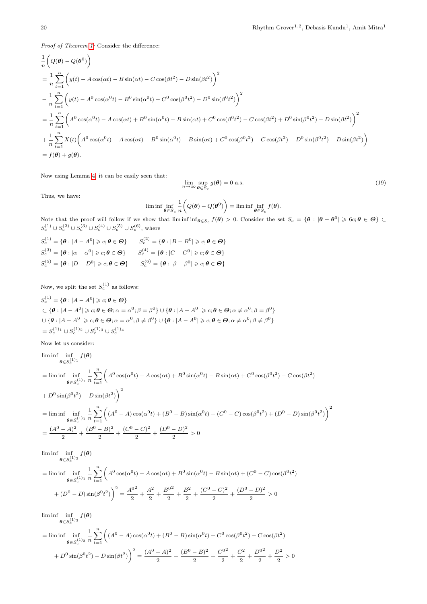Proof of Theorem [1:](#page-3-2) Consider the difference:

$$
\frac{1}{n} \left( Q(\theta) - Q(\theta^{0}) \right)
$$
\n
$$
= \frac{1}{n} \sum_{t=1}^{n} \left( y(t) - A \cos(\alpha t) - B \sin(\alpha t) - C \cos(\beta t^{2}) - D \sin(\beta t^{2}) \right)^{2}
$$
\n
$$
- \frac{1}{n} \sum_{t=1}^{n} \left( y(t) - A^{0} \cos(\alpha^{0} t) - B^{0} \sin(\alpha^{0} t) - C^{0} \cos(\beta^{0} t^{2}) - D^{0} \sin(\beta^{0} t^{2}) \right)^{2}
$$
\n
$$
= \frac{1}{n} \sum_{t=1}^{n} \left( A^{0} \cos(\alpha^{0} t) - A \cos(\alpha t) + B^{0} \sin(\alpha^{0} t) - B \sin(\alpha t) + C^{0} \cos(\beta^{0} t^{2}) - C \cos(\beta t^{2}) + D^{0} \sin(\beta^{0} t^{2}) - D \sin(\beta t^{2}) \right)^{2}
$$
\n
$$
+ \frac{1}{n} \sum_{t=1}^{n} X(t) \left( A^{0} \cos(\alpha^{0} t) - A \cos(\alpha t) + B^{0} \sin(\alpha^{0} t) - B \sin(\alpha t) + C^{0} \cos(\beta^{0} t^{2}) - C \cos(\beta t^{2}) + D^{0} \sin(\beta^{0} t^{2}) - D \sin(\beta t^{2}) \right)
$$
\n
$$
= f(\theta) + g(\theta).
$$

Now using Lemma [4,](#page-17-2) it can be easily seen that:

$$
\lim_{n \to \infty} \sup_{\theta \in S_c} g(\theta) = 0 \text{ a.s.}
$$
\n(19)

Thus, we have:

$$
\liminf_{\theta \in S_c} \frac{1}{n} \left( Q(\theta) - Q(\theta^0) \right) = \liminf_{\theta \in S_c} f(\theta).
$$

Note that the proof will follow if we show that  $\liminf_{\theta \in S_c} f(\theta) > 0$ . Consider the set  $S_c = \{ \theta : |\theta - \theta^0| \geq 6c; \theta \in \Theta \}$  $S_c^{(1)} \cup S_c^{(2)} \cup S_c^{(3)} \cup S_c^{(4)} \cup S_c^{(5)} \cup S_c^{(6)}$ , where

$$
S_c^{(1)} = \{ \theta : |A - A^0| \ge c; \theta \in \Theta \} \qquad S_c^{(2)} = \{ \theta : |B - B^0| \ge c; \theta \in \Theta \}
$$
  

$$
S_c^{(3)} = \{ \theta : | \alpha - \alpha^0| \ge c; \theta \in \Theta \} \qquad S_c^{(4)} = \{ \theta : |C - C^0| \ge c; \theta \in \Theta \}
$$
  

$$
S_c^{(5)} = \{ \theta : |D - D^0| \ge c; \theta \in \Theta \} \qquad S_c^{(6)} = \{ \theta : | \beta - \beta^0| \ge c; \theta \in \Theta \}
$$

Now, we split the set  $S_c^{(1)}$  as follows:

$$
S_c^{(1)} = \{ \theta : |A - A^0| \geq c; \theta \in \Theta \}
$$
  
\n
$$
\subset \{ \theta : |A - A^0| \geq c; \theta \in \Theta; \alpha = \alpha^0; \beta = \beta^0 \} \cup \{ \theta : |A - A^0| \geq c; \theta \in \Theta; \alpha \neq \alpha^0; \beta = \beta^0 \}
$$
  
\n
$$
\cup \{ \theta : |A - A^0| \geq c; \theta \in \Theta; \alpha = \alpha^0; \beta \neq \beta^0 \} \cup \{ \theta : |A - A^0| \geq c; \theta \in \Theta; \alpha \neq \alpha^0; \beta \neq \beta^0 \}
$$
  
\n
$$
= S_c^{(1)_1} \cup S_c^{(1)_2} \cup S_c^{(1)_3} \cup S_c^{(1)_4}
$$

Now let us consider:

$$
\liminf_{\theta \in S_c^{(1)}_1} \inf_{\theta \in S_c^{(1)}} f(\theta)
$$
\n
$$
= \liminf_{\theta \in S_c^{(1)}_1} \frac{1}{n} \sum_{t=1}^n \left( A^0 \cos(\alpha^0 t) - A \cos(\alpha t) + B^0 \sin(\alpha^0 t) - B \sin(\alpha t) + C^0 \cos(\beta^0 t^2) - C \cos(\beta t^2) \right)
$$
\n
$$
+ D^0 \sin(\beta^0 t^2) - D \sin(\beta t^2) \Big)^2
$$
\n
$$
= \liminf_{\theta \in S_c^{(1)}_1} \frac{1}{n} \sum_{t=1}^n \left( (A^0 - A) \cos(\alpha^0 t) + (B^0 - B) \sin(\alpha^0 t) + (C^0 - C) \cos(\beta^0 t^2) + (D^0 - D) \sin(\beta^0 t^2) \right)^2
$$
\n
$$
= \frac{(A^0 - A)^2}{2} + \frac{(B^0 - B)^2}{2} + \frac{(C^0 - C)^2}{2} + \frac{(D^0 - D)^2}{2} > 0
$$

lim inf inf  $\pmb{\theta} \in S_c^{(1)}2$  $f(\boldsymbol{\theta})$ 

$$
= \liminf_{\theta \in S_c^{(1)}_1} \frac{1}{n} \sum_{t=1}^n \left( A^0 \cos(\alpha^0 t) - A \cos(\alpha t) + B^0 \sin(\alpha^0 t) - B \sin(\alpha t) + (C^0 - C) \cos(\beta^0 t^2) + (D^0 - D) \sin(\beta^0 t^2) \right)^2 = \frac{A^{02}}{2} + \frac{A^2}{2} + \frac{B^{02}}{2} + \frac{B^2}{2} + \frac{(C^0 - C)^2}{2} + \frac{(D^0 - D)^2}{2} > 0
$$

lim inf inf  $\boldsymbol{\theta} {\in} S_c^{(1)}$ 3  $f(\boldsymbol{\theta})$ 

$$
= \liminf_{\theta \in S_c^{(1)}^3} \frac{1}{n} \sum_{t=1}^n \left( (A^0 - A) \cos(\alpha^0 t) + (B^0 - B) \sin(\alpha^0 t) + C^0 \cos(\beta^0 t^2) - C \cos(\beta t^2) \right)
$$

$$
+ D^0 \sin(\beta^0 t^2) - D \sin(\beta t^2) \bigg)^2 = \frac{(A^0 - A)^2}{2} + \frac{(B^0 - B)^2}{2} + \frac{C^0}{2} + \frac{C^2}{2} + \frac{D^0}{2} + \frac{D^2}{2} > 0
$$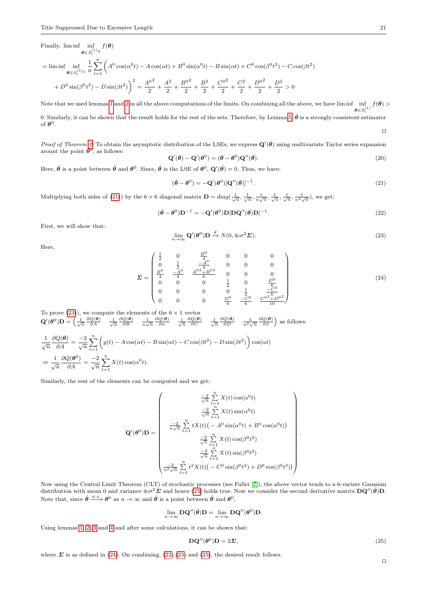Finally, lim inf inf  $\theta \in S_c^{(1)}{}^4$  $f(\boldsymbol{\theta})$ 

$$
= \liminf_{\theta \in S_c^{(1)}_1} \frac{1}{n} \sum_{t=1}^n \left( A^0 \cos(\alpha^0 t) - A \cos(\alpha t) + B^0 \sin(\alpha^0 t) - B \sin(\alpha t) + C^0 \cos(\beta^0 t^2) - C \cos(\beta t^2) \right)
$$

$$
+ D^0 \sin(\beta^0 t^2) - D \sin(\beta t^2) \bigg)^2 = \frac{A^{0^2}}{2} + \frac{A^2}{2} + \frac{B^{0^2}}{2} + \frac{B^2}{2} + \frac{C^{0^2}}{2} + \frac{C^2}{2} + \frac{D^0}{2} + \frac{D^2}{2} > 0
$$

Note that we used lemmas [1](#page-17-3) and [2](#page-17-4) in all the above computations of the limits. On combining all the above, we have lim inf  $\theta \in S_c^{(1)}$  $f(\boldsymbol{\theta}) >$ 

0. Similarly, it can be shown that the result holds for the rest of the sets. Therefore, by Lemma 5, 
$$
\hat{\theta}
$$
 is a strongly consistent estimator of  $\theta^0$ .

Proof of Theorem [2:](#page-3-1) To obtain the asymptotic distribution of the LSEs, we express  $\mathbf{Q}'(\hat{\theta})$  using multivariate Taylor series expansion arount the point  $\theta^0$ , as follows:

$$
\mathbf{Q}'(\hat{\theta}) - \mathbf{Q}'(\theta^0) = (\hat{\theta} - \theta^0)\mathbf{Q}''(\bar{\theta}).
$$
\n(20)

Here,  $\bar{\theta}$  is a point between  $\hat{\theta}$  and  $\theta^0$ . Since,  $\hat{\theta}$  is the LSE of  $\theta^0$ ,  $\mathbf{Q}'(\hat{\theta}) = 0$ . Thus, we have:

<span id="page-20-0"></span>
$$
(\hat{\boldsymbol{\theta}} - \boldsymbol{\theta}^0) = -\mathbf{Q}'(\boldsymbol{\theta}^0)[\mathbf{Q}''(\bar{\boldsymbol{\theta}})]^{-1}.
$$
\n(21)

Multiplying both sides of [\(21\)](#page-20-0)) by the  $6 \times 6$  diagonal matrix  $\mathbf{D} = diag(\frac{1}{\sqrt{n}}, \frac{1}{\sqrt{n}}, \frac{1}{n\sqrt{n}}, \frac{1}{n\sqrt{n}}, \frac{1}{\sqrt{n}}, \frac{1}{n^2\sqrt{n}})$ , we get:

<span id="page-20-3"></span>
$$
(\hat{\boldsymbol{\theta}} - \boldsymbol{\theta}^0)\mathbf{D}^{-1} = -\mathbf{Q}'(\boldsymbol{\theta}^0)\mathbf{D}[\mathbf{D}\mathbf{Q}''(\bar{\boldsymbol{\theta}})\mathbf{D}]^{-1}.
$$
\n(22)

First, we will show that:

<span id="page-20-1"></span>
$$
\lim_{n \to \infty} \mathbf{Q}'(\boldsymbol{\theta}^0) \mathbf{D} \xrightarrow{d} N(0, 4c\sigma^2 \Sigma).
$$
\n(23)

Here,

<span id="page-20-2"></span>
$$
\Sigma = \begin{pmatrix}\n\frac{1}{2} & 0 & \frac{B^{0}}{4} & 0 & 0 & 0 \\
0 & \frac{1}{2} & \frac{-A^{0}}{4} & 0 & 0 & 0 \\
\frac{B^{0}}{4} & \frac{-A^{0}}{4} & \frac{A^{0}\frac{2}{4}B^{0}\frac{2}{4}}{6} & 0 & 0 & 0 \\
0 & 0 & 0 & \frac{1}{2} & 0 & \frac{D^{0}}{6} \\
0 & 0 & 0 & 0 & \frac{1}{2} & \frac{-C^{0}}{6} \\
0 & 0 & 0 & \frac{D^{0}}{6} & \frac{-C^{0}}{6} & \frac{C^{0}\frac{2}{4}D^{0}\frac{2}{4}}{10}\n\end{pmatrix}
$$
\n(24)

To prove  $(23)$ ), we compute the elements of the  $6 \times 1$  vector  $\mathbf{Q}'(\boldsymbol{\theta}^0)\mathbf{D} = \begin{pmatrix} \frac{1}{\sqrt{n}} & \frac{\partial Q(\boldsymbol{\theta})}{\partial A} & \frac{1}{\sqrt{n}} & \frac{\partial Q(\boldsymbol{\theta})}{\partial B} & \frac{1}{n\sqrt{n}} & \frac{\partial Q(\boldsymbol{\theta})}{\partial \alpha} & \frac{1}{\sqrt{n}} & \frac{\partial Q(\boldsymbol{\theta})}{\partial C} & \frac{1}{\sqrt{n}} & \frac{\partial Q(\boldsymbol{\theta})}{\partial D} & \frac{1}{n^2\sqrt{n}} & \frac{\partial Q(\boldsymbol{\theta})}{\partial \beta} \end{pmatrix}$  as follows:

$$
\frac{1}{\sqrt{n}} \frac{\partial Q(\theta)}{\partial A} = \frac{-2}{\sqrt{n}} \sum_{t=1}^{n} \left( y(t) - A \cos(\alpha t) - B \sin(\alpha t) - C \cos(\beta t^2) - D \sin(\beta t^2) \right) \cos(\alpha t)
$$

$$
\Rightarrow \frac{1}{\sqrt{n}} \frac{\partial Q(\theta^0)}{\partial A} = \frac{-2}{\sqrt{n}} \sum_{t=1}^{n} X(t) \cos(\alpha^0 t).
$$

Similarly, the rest of the elements can be computed and we get:

$$
\mathbf{Q}'(\boldsymbol{\theta}^{0})\mathbf{D} = \begin{pmatrix} \frac{-2}{\sqrt{n}} \sum_{t=1}^{n} X(t) \cos(\alpha^{0} t) \\ \frac{-2}{\sqrt{n}} \sum_{t=1}^{n} X(t) \sin(\alpha^{0} t) \\ \frac{-2}{n\sqrt{n}} \sum_{t=1}^{n} tX(t) (-A^{0} \sin(\alpha^{0} t) + B^{0} \cos(\alpha^{0} t)) \\ \frac{-2}{\sqrt{n}} \sum_{t=1}^{n} X(t) \cos(\beta^{0} t^{2}) \\ \frac{-2}{\sqrt{n}} \sum_{t=1}^{n} X(t) \sin(\beta^{0} t^{2}) \\ \frac{-2}{n^{2}\sqrt{n}} \sum_{t=1}^{n} t^{2}X(t) (-C^{0} \sin(\beta^{0} t^{2}) + D^{0} \cos(\beta^{0} t^{2})) \end{pmatrix}
$$

Now using the Central Limit Theorem (CLT) of stochastic processes (see Fuller [\[7\]](#page-26-25)), the above vector tends to a 6-variate Gaussian distribution with mean 0 and variance  $4c\sigma^2\mathbf{\Sigma}$  and hence [\(23\)](#page-20-1) holds true. Now we consider the second derivative matrix  $\mathbf{D}\mathbf{Q}''(\bar{\theta})\mathbf{D}$ . Note that, since  $\hat{\theta} \stackrel{a.s.}{\longrightarrow} \theta^0$  as  $n \to \infty$  and  $\bar{\theta}$  is a point between  $\hat{\theta}$  and  $\theta^0$ ,

$$
\lim_{n\to\infty} \mathbf{D}\mathbf{Q}''(\bar{\boldsymbol{\theta}})\mathbf{D} = \lim_{n\to\infty} \mathbf{D}\mathbf{Q}''(\boldsymbol{\theta}^0)\mathbf{D}.
$$

Using lemmas [1,](#page-17-3) [2,](#page-17-4) [3](#page-17-5) and [4](#page-17-2) and after some calculations, it can be shown that:

<span id="page-20-4"></span>
$$
DQ''(\theta^0)D = 2\Sigma,
$$
\n(25)

 $\Box$ 

.

where  $\Sigma$  is as defined in [\(24\)](#page-20-2). On combining, [\(22\)](#page-20-3),[\(23\)](#page-20-1) and [\(25\)](#page-20-4), the desired result follows.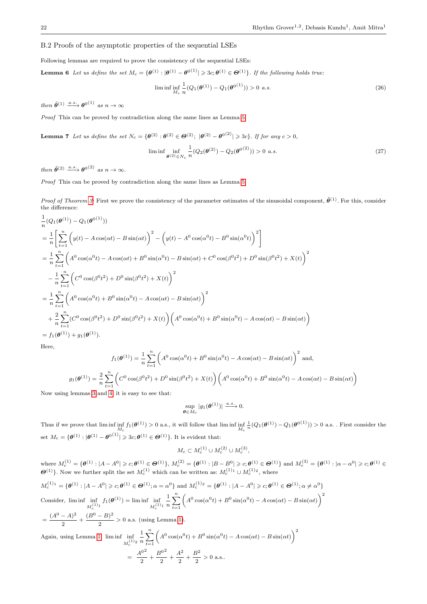# <span id="page-21-0"></span>B.2 Proofs of the asymptotic properties of the sequential LSEs

Following lemmas are required to prove the consistency of the sequential LSEs:

**Lemma 6** Let us define the set  $M_c = \{ \theta^{(1)} : |\theta^{(1)} - \theta^{0(1)}| \geq 3c; \theta^{(1)} \in \Theta^{(1)} \}$ . If the following holds true:

<span id="page-21-1"></span>
$$
\liminf_{M_c} \frac{1}{n} (Q_1(\boldsymbol{\theta}^{(1)}) - Q_1(\boldsymbol{\theta}^{(1)})) > 0 \ a.s.
$$
\n(26)

then  $\tilde{\theta}^{(1)} \xrightarrow{a.s.} \theta^{0^{(1)}}$  as  $n \to \infty$ 

Proof This can be proved by contradiction along the same lines as Lemma [5.](#page-18-4)

<span id="page-21-2"></span>**Lemma 7** Let us define the set  $N_c = \{ \theta^{(2)} : \theta^{(2)} \in \Theta^{(2)}; |\theta^{(2)} - \theta^{(02)}| \geq 3c \}.$  If for any  $c > 0$ ,

$$
\liminf_{\theta^{(2)} \in N_c} \frac{1}{n} (Q_2(\theta^{(2)}) - Q_2(\theta^{(2)})) > 0 \text{ a.s.}
$$
\n(27)

then  $\tilde{\theta}^{(2)} \xrightarrow{a.s.} \theta^{0^{(2)}}$  as  $n \to \infty$ .

Proof This can be proved by contradiction along the same lines as Lemma [5.](#page-18-4)

*Proof of Theorem [3:](#page-5-3)* First we prove the consistency of the parameter estimates of the sinusoidal component,  $\tilde{\theta}^{(1)}$ . For this, consider the difference:

$$
\frac{1}{n}(Q_{1}(\theta^{(1)}) - Q_{1}(\theta^{0(1)}))
$$
\n
$$
= \frac{1}{n} \left[ \sum_{t=1}^{n} \left( y(t) - A \cos(\alpha t) - B \sin(\alpha t) \right)^{2} - \left( y(t) - A^{0} \cos(\alpha^{0} t) - B^{0} \sin(\alpha^{0} t) \right)^{2} \right]
$$
\n
$$
= \frac{1}{n} \sum_{t=1}^{n} \left( A^{0} \cos(\alpha^{0} t) - A \cos(\alpha t) + B^{0} \sin(\alpha^{0} t) - B \sin(\alpha t) + C^{0} \cos(\beta^{0} t^{2}) + D^{0} \sin(\beta^{0} t^{2}) + X(t) \right)^{2}
$$
\n
$$
- \frac{1}{n} \sum_{t=1}^{n} \left( C^{0} \cos(\beta^{0} t^{2}) + D^{0} \sin(\beta^{0} t^{2}) + X(t) \right)^{2}
$$
\n
$$
= \frac{1}{n} \sum_{t=1}^{n} \left( A^{0} \cos(\alpha^{0} t) + B^{0} \sin(\alpha^{0} t) - A \cos(\alpha t) - B \sin(\alpha t) \right)^{2}
$$
\n
$$
+ \frac{2}{n} \sum_{t=1}^{n} (C^{0} \cos(\beta^{0} t^{2}) + D^{0} \sin(\beta^{0} t^{2}) + X(t) \right) \left( A^{0} \cos(\alpha^{0} t) + B^{0} \sin(\alpha^{0} t) - A \cos(\alpha t) - B \sin(\alpha t) \right)
$$
\n
$$
= f_{1}(\theta^{(1)}) + g_{1}(\theta^{(1)}).
$$

Here,

$$
f_1(\theta^{(1)}) = \frac{1}{n} \sum_{t=1}^n \left( A^0 \cos(\alpha^0 t) + B^0 \sin(\alpha^0 t) - A \cos(\alpha t) - B \sin(\alpha t) \right)^2 \text{ and,}
$$

$$
g_1(\theta^{(1)}) = \frac{2}{n} \sum_{t=1}^n \left( C^0 \cos(\beta^0 t^2) + D^0 \sin(\beta^0 t^2) + X(t) \right) \left( A^0 \cos(\alpha^0 t) + B^0 \sin(\alpha^0 t) - A \cos(\alpha t) - B \sin(\alpha t) \right)
$$

Now using lemmas [3](#page-17-5) and [4,](#page-17-2) it is easy to see that:

$$
\sup_{\boldsymbol{\theta}\in M_c}|g_1(\boldsymbol{\theta}^{(1)})|\xrightarrow{a.s.}0.
$$

Thus if we prove that  $\liminf_{M_c} f_1(\boldsymbol{\theta}^{(1)}) > 0$  a.s., it will follow that  $\liminf_{M_c} f_2(\boldsymbol{\theta}^{(1)})$  $\frac{1}{n}(Q_1(\theta^{(1)}) - Q_1(\theta^{0(1)})) > 0$  a.s. . First consider the set  $M_c = \{ \theta^{(1)} : |\theta^{(1)} - \theta^{(1)}| \geqslant 3c; \theta^{(1)} \in \Theta^{(1)} \}.$  It is evident that:

$$
M_c \subset M_c^{(1)} \cup M_c^{(2)} \cup M_c^{(3)},
$$

 ${\cal M}^{(1)}_c = \{{\boldsymbol \theta}^{(1)}: |A-A^0| \geqslant c; {\boldsymbol \theta}^{(1)}\in {\boldsymbol \Theta}^{(1)}\}, \ {\cal M}^{(2)}_c = \{{\boldsymbol \theta}^{(1)}: |B-B^0| \geqslant c; {\boldsymbol \theta}^{(1)}\in {\boldsymbol \Theta}^{(1)}\} \text{ and } {\cal M}^{(3)}_c = \{{\boldsymbol \theta}^{(1)}: |\alpha-\alpha^0| \geqslant c; {\boldsymbol \theta}^{(1)}\in {\boldsymbol \Theta}^{(1)}\}$  $\mathbf{\Theta}^{(1)}$ }. Now we further split the set  $M_c^{(1)}$  which can be written as:  $M_c^{(1)}$   $\cup$   $M_c^{(1)}$ <sup>2</sup>, where

$$
M_c^{(1)} = \{ \theta^{(1)} : |A - A^0| \ge c; \theta^{(1)} \in \Theta^{(1)}; \alpha = \alpha^0 \} \text{ and } M_c^{(1)} = \{ \theta^{(1)} : |A - A^0| \ge c; \theta^{(1)} \in \Theta^{(1)}; \alpha \ne \alpha^0 \}
$$
  
Consider,  $\liminf_{M_c^{(1)}_1} \inf_{f_1(\theta^{(1)})} f_1(\theta^{(1)}) = \liminf_{M_c^{(1)}_1} \frac{1}{n} \sum_{t=1}^n \left( A^0 \cos(\alpha^0 t) + B^0 \sin(\alpha^0 t) - A \cos(\alpha t) - B \sin(\alpha t) \right)^2$   

$$
= \frac{(A^0 - A)^2}{2} + \frac{(B^0 - B)^2}{2} > 0 \text{ a.s. (using Lemma 1).}
$$
  
Again, using Lemma 1,  $\liminf_{M_c^{(1)}_2} \frac{1}{n} \sum_{t=1}^n \left( A^0 \cos(\alpha^0 t) + B^0 \sin(\alpha^0 t) - A \cos(\alpha t) - B \sin(\alpha t) \right)^2$ 

$$
= \frac{A^{02}}{2} + \frac{B^{02}}{2} + \frac{A^{2}}{2} + \frac{B^{2}}{2} > 0
$$
 a.s..

=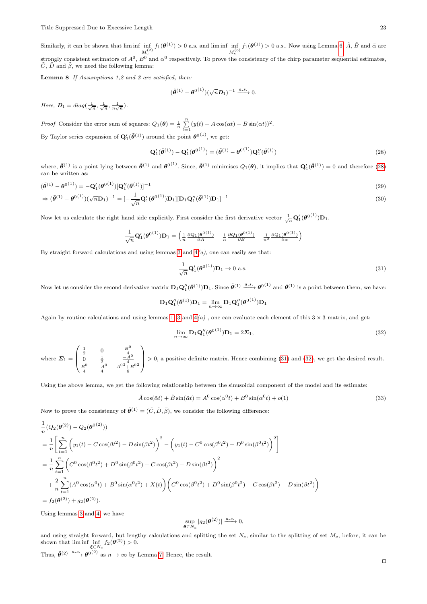Similarly, it can be shown that  $\liminf_{M_c^{(2)}}$  $f_1(\theta^{(1)}) > 0$  a.s. and lim inf  $\inf_{M_c^{(3)}}$  $f_1(\boldsymbol{\theta}^{(1)}) > 0$  a.s.. Now using Lemma [6,](#page-21-1)  $\tilde{A}$ ,  $\tilde{B}$  and  $\tilde{\alpha}$  are strongly consistent estimators of  $A^0$ ,  $B^0$  and  $\alpha^0$  respectively. To prove the consistency of the chirp parameter sequential estimates,  $\tilde{C}$ ,  $\tilde{D}$  and  $\tilde{\beta}$ , we need the following lemma:

Lemma 8 If Assumptions 1,2 and 3 are satisfied, then:

<span id="page-22-4"></span>
$$
(\tilde{\theta}^{(1)} - \theta^{0(1)}) (\sqrt{n} D_1)^{-1} \xrightarrow{a.s.} 0.
$$

Here,  $D_1 = diag(\frac{1}{\sqrt{n}}, \frac{1}{\sqrt{n}}, \frac{1}{n\sqrt{n}})$ .

*Proof* Consider the error sum of squares:  $Q_1(\theta) = \frac{1}{n} \sum_{t=1}^{n} (y(t) - A \cos(\alpha t) - B \sin(\alpha t))^2$ . By Taylor series expansion of  $\mathbf{Q}'_1(\tilde{\theta}^{(1)})$  around the point  $\theta^{0}(1)}$ , we get:

<span id="page-22-0"></span>
$$
\mathbf{Q}'_1(\tilde{\theta}^{(1)}) - \mathbf{Q}'_1(\theta^{0(1)}) = (\tilde{\theta}^{(1)} - \theta^{0(1)})\mathbf{Q}''_1(\tilde{\theta}^{(1)})
$$
\n(28)

where,  $\bar{\theta}^{(1)}$  is a point lying between  $\tilde{\theta}^{(1)}$  and  $\theta^{0}(1)}$ . Since,  $\tilde{\theta}^{(1)}$  minimises  $Q_1(\theta)$ , it implies that  $\mathbf{Q}'_1(\tilde{\theta}^{(1)}) = 0$  and therefore [\(28\)](#page-22-0) can be written as:

$$
(\tilde{\theta}^{(1)} - \theta^{0(1)}) = -\mathbf{Q}'_1(\theta^{0(1)})[\mathbf{Q}''_1(\bar{\theta}^{(1)})]^{-1}
$$
  
\n
$$
\Rightarrow (\tilde{\theta}^{(1)} - \theta^{0(1)})(\sqrt{n}\mathbf{D}_1)^{-1} = [-\frac{1}{\sqrt{n}}\mathbf{Q}'_1(\theta^{0(1)})\mathbf{D}_1][\mathbf{D}_1\mathbf{Q}''_1(\bar{\theta}^{(1)})\mathbf{D}_1]^{-1}
$$
\n(30)

Now let us calculate the right hand side explicitly. First consider the first derivative vector  $\frac{1}{\sqrt{n}}\mathbf{Q}'_1(\boldsymbol{\theta}^{0(1)})\mathbf{D}_1$ .

$$
\frac{1}{\sqrt{n}}\mathbf{Q}'_1(\boldsymbol{\theta}^{0(1)})\mathbf{D}_1 = \begin{pmatrix} \frac{1}{n} \frac{\partial Q_1(\boldsymbol{\theta}^{0(1)})}{\partial A} & \frac{1}{n} \frac{\partial Q_1(\boldsymbol{\theta}^{0(1)})}{\partial B} & \frac{1}{n^2} \frac{\partial Q_1(\boldsymbol{\theta}^{0(1)})}{\partial \alpha} \end{pmatrix}
$$

By straight forward calculations and using lemmas [3](#page-17-5) and  $4(a)$ , one can easily see that:

<span id="page-22-3"></span><span id="page-22-1"></span>
$$
\frac{1}{\sqrt{n}}\mathbf{Q}'_1(\boldsymbol{\theta}^{0(1)})\mathbf{D}_1 \to 0 \text{ a.s.}
$$
\n(31)

Now let us consider the second derivative matrix  $D_1 Q''_1(\bar{\theta}^{(1)}) D_1$ . Since  $\tilde{\theta}^{(1)} \xrightarrow{a.s.} \theta^{0^{(1)}}$  and  $\bar{\theta}^{(1)}$  is a point between them, we have:

$$
\mathbf{D}_1\mathbf{Q}_1''(\bar{\boldsymbol{\theta}}^{(1)})\mathbf{D}_1 = \lim_{n\to\infty} \mathbf{D}_1\mathbf{Q}_1''(\boldsymbol{\theta}^{0(1)})\mathbf{D}_1
$$

Again by routine calculations and using lemmas [1,](#page-17-3) [3](#page-17-5) and  $4(a)$ , one can evaluate each element of this  $3 \times 3$  matrix, and get:

<span id="page-22-2"></span>
$$
\lim_{n \to \infty} \mathbf{D}_1 \mathbf{Q}_1''(\boldsymbol{\theta}^{0(1)}) \mathbf{D}_1 = 2\boldsymbol{\Sigma}_1,\tag{32}
$$

where  $\Sigma_1 =$  $\sqrt{ }$  $\overline{\phantom{a}}$  $\begin{array}{ccc} \frac{1}{2} & 0 & \frac{B^0}{4} \\ 0 & \frac{1}{2} & \frac{-A^0}{4} \\ B^0 & -A^0 & A^{02} + B^{02} \end{array}$ 4 4 6  $\setminus$  $> 0$ , a positive definite matrix. Hence combining [\(31\)](#page-22-1) and [\(32\)](#page-22-2), we get the desired result.

Using the above lemma, we get the following relationship between the sinusoidal component of the model and its estimate:

<span id="page-22-5"></span>
$$
\tilde{A}\cos(\tilde{\alpha}t) + \tilde{B}\sin(\tilde{\alpha}t) = A^0\cos(\alpha^0 t) + B^0\sin(\alpha^0 t) + o(1)
$$
\n(33)

Now to prove the consistency of  $\tilde{\theta}^{(1)} = (\tilde{C}, \tilde{D}, \tilde{\beta})$ , we consider the following difference:

$$
\frac{1}{n}(Q_2(\theta^{(2)}) - Q_2(\theta^{(2)}))
$$
\n
$$
= \frac{1}{n} \left[ \sum_{t=1}^n \left( y_1(t) - C \cos(\beta t^2) - D \sin(\beta t^2) \right)^2 - \left( y_1(t) - C^0 \cos(\beta^0 t^2) - D^0 \sin(\beta^0 t^2) \right)^2 \right]
$$
\n
$$
= \frac{1}{n} \sum_{t=1}^n \left( C^0 \cos(\beta^0 t^2) + D^0 \sin(\beta^0 t^2) - C \cos(\beta t^2) - D \sin(\beta t^2) \right)^2
$$
\n
$$
+ \frac{2}{n} \sum_{t=1}^n (A^0 \cos(\alpha^0 t) + B^0 \sin(\alpha^0 t^2) + X(t)) \left( C^0 \cos(\beta^0 t^2) + D^0 \sin(\beta^0 t^2) - C \cos(\beta t^2) - D \sin(\beta t^2) \right)
$$
\n
$$
= f_2(\theta^{(2)}) + g_2(\theta^{(2)}).
$$

Using lemmas [3](#page-17-5) and [4,](#page-17-2) we have

$$
\sup_{\pmb{\theta}\in N_c}|g_2(\pmb{\theta}^{(2)})|\xrightarrow{a.s.}0,
$$

and using straight forward, but lengthy calculations and splitting the set  $N_c$ , similar to the splitting of set  $M_c$ , before, it can be shown that  $\liminf_{\xi \in N_c} \inf_{f_2(\theta^{(2)})} > 0.$ 

Thus,  $\tilde{\theta}^{(2)} \xrightarrow{a.s.} \theta^{(02)}$  as  $n \to \infty$  by Lemma [7.](#page-21-2) Hence, the result.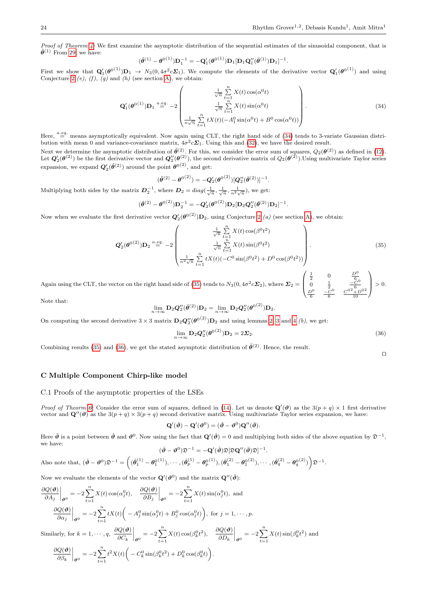Proof of Theorem [4:](#page-5-4) We first examine the asymptotic distribution of the sequential estimates of the sinusoidal component, that is  $\tilde{\theta}^{(1)}$  From [29,](#page-22-3) we have:

$$
(\tilde{\theta}^{(1)} - \theta^{0(1)})\mathbf{D}_1^{-1} = -\mathbf{Q}'_1(\theta^{0(1)})\mathbf{D}_1[\mathbf{D}_1\mathbf{Q}''_1(\bar{\theta}^{(1)})\mathbf{D}_1]^{-1}.
$$

First we show that  $Q'_1(\theta^{0(1)})D_1 \to N_3(0, 4\sigma^2c\Sigma_1)$ . We compute the elements of the derivative vector  $Q'_1(\theta^{0(1)})$  and using Conjecture [2](#page-18-5)  $(e)$ ,  $(f)$ ,  $(g)$  and  $(h)$  (see section [A\)](#page-17-1), we obtain:

<span id="page-23-1"></span>
$$
\mathbf{Q}'_1(\boldsymbol{\theta}^{0(1)})\mathbf{D}_1 \stackrel{a.eq}{=} -2 \begin{pmatrix} \frac{1}{\sqrt{n}} \sum_{t=1}^n X(t) \cos(\alpha^0 t) \\ \frac{1}{\sqrt{n}} \sum_{t=1}^n X(t) \sin(\alpha^0 t) \\ \frac{1}{n\sqrt{n}} \sum_{t=1}^n tX(t) (-A_1^0 \sin(\alpha^0 t) + B^0 \cos(\alpha^0 t)) \end{pmatrix} .
$$
\n(34)

.

Here,  $a_{eq}$  means asymptotically equivalent. Now again using CLT, the right hand side of [\(34\)](#page-23-1) tends to 3-variate Gaussian distribution with mean 0 and variance-covariance matrix,  $4\sigma^2 c \Sigma_1$ . Using this and [\(32\)](#page-22-2), we have the desired result.

Next we determine the asymptotic distribution of  $\tilde{\theta}^{(2)}$ . For this, we consider the error sum of squares,  $Q_2(\theta^{(2)})$  as defined in [\(12\)](#page-4-2). Let  $Q_2'(\theta^{(2)})$  be the first derivative vector and  $Q_2''(\theta^{(2)})$ , the second derivative matrix of  $Q_2(\theta^{(2)})$ . Using multivariate Taylor series expansion, we expand  $\mathbf{Q}'_2(\tilde{\theta}^{(2)})$  around the point  $\theta^{0(2)}$ , and get:

$$
(\tilde{\theta}^{(2)} - {\theta^0}^{(2)}) = -Q_2'({\theta^0}^{(2)})[Q_2''(\bar{\theta}^{(2)})]^{-1}
$$

Multiplying both sides by the matrix  $D_2^{-1}$ , where  $D_2 = diag(\frac{1}{\sqrt{n}}, \frac{1}{\sqrt{n}}, \frac{1}{n^2\sqrt{n}})$ , we get:

$$
(\tilde{\theta}^{(2)} - \theta^{(2)})\mathbf{D}_2^{-1} = -\mathbf{Q}'_2(\theta^{(2)})\mathbf{D}_2[\mathbf{D}_2\mathbf{Q}''_2(\bar{\theta}^{(2)})\mathbf{D}_2]^{-1}.
$$

Now when we evaluate the first derivative vector  $Q'_2(\theta^{(0)}), D_2$ , using Conjecture [2](#page-18-5) (*a*) (see section [A\)](#page-17-1), we obtain:

<span id="page-23-2"></span>
$$
\mathbf{Q}'_2(\boldsymbol{\theta}^{0(2)})\mathbf{D}_2 \stackrel{a.eq.}{=} -2 \begin{pmatrix} \frac{1}{\sqrt{n}} \sum_{t=1}^n X(t) \cos(\beta^0 t^2) \\ \frac{1}{\sqrt{n}} \sum_{t=1}^n X(t) \sin(\beta^0 t^2) \\ \frac{1}{n^2 \sqrt{n}} \sum_{t=1}^n t X(t) (-C^0 \sin(\beta^0 t^2) + D^0 \cos(\beta^0 t^2)) \end{pmatrix} .
$$
 (35)

Again using the CLT, the vector on the right hand side of [\(35\)](#page-23-2) tends to  $N_3(0, 4\sigma^2 c\Sigma_2)$ , where  $\Sigma_2$  $\overline{\mathcal{L}}$  $\begin{array}{ccc} \frac{1}{2} & 0 & \frac{D^0}{6}\\ 0 & \frac{1}{2} & \frac{-C^0}{6}\\ \frac{D^0}{6} & \frac{-C^0}{6} & \frac{C^{02}+D^{02}}{10} \end{array}$ 

Note that:

$$
\lim_{n\rightarrow\infty} \mathbf{D}_2\bm{Q}''_2(\bar{\bm{\theta}}^{(2)})\mathbf{D}_2=\lim_{n\rightarrow\infty} \mathbf{D}_2\bm{Q}''_2(\bm{\theta}^{0\,(2)})\mathbf{D}_2.
$$

On computing the second derivative  $3 \times 3$  $3 \times 3$  matrix  $\mathbf{D}_2 \mathbf{Q}_2''(\boldsymbol{\theta}^{0(2)}) \mathbf{D}_2$  and using lemmas [2,](#page-17-4) 3 and [4](#page-17-2) (b), we get:

<span id="page-23-3"></span>
$$
\lim_{n \to \infty} \mathbf{D}_2 \mathbf{Q}_2''(\boldsymbol{\theta}^{0^{(2)}}) \mathbf{D}_2 = 2 \Sigma_2.
$$
\n(36)

 $\sqrt{ }$ 

 $\setminus$ 

 $\Big\} > 0.$ 

 $\Box$ 

Combining results [\(35\)](#page-23-2) and [\(36\)](#page-23-3), we get the stated asymptotic distribution of  $\tilde{\theta}^{(2)}$ . Hence, the result.

# C Multiple Component Chirp-like model

### <span id="page-23-0"></span>C.1 Proofs of the asymptotic properties of the LSEs

*Proof of Theorm [6:](#page-6-0)* Consider the error sum of squares, defined in [\(14\)](#page-6-2). Let us denote  $\mathbf{Q}'(\vartheta)$  as the  $3(p+q) \times 1$  first derivative vector and  $\mathbf{Q}''(\vartheta)$  as the  $3(p+q) \times 3(p+q)$  second derivative matrix. Using multivariate Taylor series expansion, we have:

$$
\mathbf{Q}'(\hat{\boldsymbol{\vartheta}}) - \mathbf{Q}'(\boldsymbol{\vartheta}^0) = (\hat{\boldsymbol{\vartheta}} - \boldsymbol{\vartheta}^0)\mathbf{Q}''(\bar{\boldsymbol{\vartheta}}).
$$

Here  $\bar{\theta}$  is a point between  $\hat{\theta}$  and  $\theta^0$ . Now using the fact that  $\mathbf{Q}'(\hat{\theta}) = 0$  and multiplying both sides of the above equation by  $\mathfrak{D}^{-1}$ , we have:  $(\hat{\boldsymbol{\vartheta}} - \boldsymbol{\vartheta}^0) \mathfrak{D}^{-1} = - \mathbf{Q}'(\hat{\boldsymbol{\vartheta}}) \mathfrak{D} [\mathfrak{D} \mathbf{Q}''(\bar{\boldsymbol{\vartheta}}) \mathfrak{D}]^{-1}.$ 

Also note that, 
$$
(\hat{\theta} - \theta^0)\mathfrak{D}^{-1} = ((\hat{\theta}_1^{(1)} - \theta_1^{0(1)}), \cdots, (\hat{\theta}_p^{(1)} - \theta_p^{0(1)}), (\hat{\theta}_1^{(2)} - \theta_1^{0(2)}), \cdots, (\hat{\theta}_q^{(2)} - \theta_q^{0(2)})\mathfrak{D}^{-1}
$$
.

Now we evaluate the elements of the vector  $\mathbf{Q}'(\boldsymbol{\vartheta}^0)$  and the matrix  $\mathbf{Q}''(\bar{\boldsymbol{\vartheta}})$ :

$$
\frac{\partial Q(\boldsymbol{\vartheta})}{\partial A_j}\Big|_{\boldsymbol{\vartheta}^0} = -2\sum_{t=1}^n X(t)\cos(\alpha_j^0 t), \quad \frac{\partial Q(\boldsymbol{\vartheta})}{\partial B_j}\Big|_{\boldsymbol{\vartheta}^0} = -2\sum_{t=1}^n X(t)\sin(\alpha_j^0 t), \text{ and}
$$

$$
\frac{\partial Q(\boldsymbol{\vartheta})}{\partial \alpha_j}\Big|_{\boldsymbol{\vartheta}^0} = -2\sum_{t=1}^n tX(t)\Big(-A_j^0\sin(\alpha_j^0 t) + B_j^0\cos(\alpha_j^0 t)\Big), \text{ for } j = 1, \cdots, p.
$$
Similarly, for  $k = 1, \cdots, q$ ,  $\frac{\partial Q(\boldsymbol{\vartheta})}{\partial \alpha_j}\Big|_{\alpha_j^0} = -2\sum_{t=1}^n X(t)\cos(\beta_k^0 t^2), \quad \frac{\partial Q(\boldsymbol{\vartheta})}{\partial \alpha_j}\Big|_{\alpha_j^0} = -2\sum_{t=1}^n X(t)\sin(\beta_k^0 t^2).$ 

 $\partial C_k$  $\bigg|_{\vartheta^0} = -2 \sum_{t=1}^n$  $t=1$  $X(t) \cos(\beta_k^0 t^2), \quad \frac{\partial Q(\boldsymbol{\vartheta})}{\partial D_t}$  $\partial D_k$  $\bigg|_{\vartheta^0} = -2 \sum_{t=1}^n$  $t=1$  $X(t)\sin(\beta_k^0 t^2)$  and .

$$
\frac{\partial Q(\boldsymbol{\vartheta})}{\partial \beta_k}\bigg|_{\boldsymbol{\vartheta}^0} = -2\sum_{t=1}^n t^2 X(t) \bigg(-C_k^0 \sin(\beta_k^0 t^2) + D_k^0 \cos(\beta_k^0 t)\bigg)
$$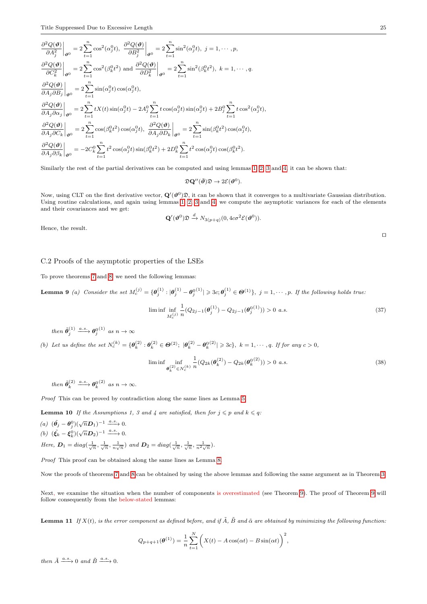$$
\frac{\partial^2 Q(\boldsymbol{\vartheta})}{\partial A_j^2}\Big|_{\boldsymbol{\vartheta}^0} = 2 \sum_{t=1}^n \cos^2(\alpha_j^0 t), \left. \frac{\partial^2 Q(\boldsymbol{\vartheta})}{\partial B_j^2}\right|_{\boldsymbol{\vartheta}^0} = 2 \sum_{t=1}^n \sin^2(\alpha_j^0 t), \ j = 1, \cdots, p,
$$
\n
$$
\frac{\partial^2 Q(\boldsymbol{\vartheta})}{\partial C_k^2}\Big|_{\boldsymbol{\vartheta}^0} = 2 \sum_{t=1}^n \cos^2(\beta_k^0 t^2) \text{ and } \frac{\partial^2 Q(\boldsymbol{\vartheta})}{\partial D_k^2}\Big|_{\boldsymbol{\vartheta}^0} = 2 \sum_{t=1}^n \sin^2(\beta_k^0 t^2), \ k = 1, \cdots, q.
$$
\n
$$
\frac{\partial^2 Q(\boldsymbol{\vartheta})}{\partial A_j \partial B_j}\Big|_{\boldsymbol{\vartheta}^0} = 2 \sum_{t=1}^n \sin(\alpha_j^0 t) \cos(\alpha_j^0 t),
$$
\n
$$
\frac{\partial^2 Q(\boldsymbol{\vartheta})}{\partial A_j \partial \alpha_j}\Big|_{\boldsymbol{\vartheta}^0} = 2 \sum_{t=1}^n tX(t) \sin(\alpha_j^0 t) - 2A_j^0 \sum_{t=1}^n t \cos(\alpha_j^0 t) \sin(\alpha_j^0 t) + 2B_j^0 \sum_{t=1}^n t \cos^2(\alpha_j^0 t),
$$
\n
$$
\frac{\partial^2 Q(\boldsymbol{\vartheta})}{\partial A_j \partial C_k}\Big|_{\boldsymbol{\vartheta}^0} = 2 \sum_{t=1}^n \cos(\beta_k^0 t^2) \cos(\alpha_j^0 t), \left. \frac{\partial^2 Q(\boldsymbol{\vartheta})}{\partial A_j \partial D_k}\right|_{\boldsymbol{\vartheta}^0} = 2 \sum_{t=1}^n \sin(\beta_k^0 t^2) \cos(\alpha_j^0 t),
$$
\n
$$
\frac{\partial^2 Q(\boldsymbol{\vartheta})}{\partial A_j \partial \beta_k}\Big|_{\boldsymbol{\vartheta}^0} = -2C_k^0 \sum_{t=1}^n t^2 \cos(\alpha_j^0 t) \sin(\beta_k^0 t^2) + 2D_k^0 \sum_{t=1}^n t^2 \cos(\alpha_j^0 t) \cos(\beta_k^0 t^2
$$

Similarly the rest of the partial derivatives can be computed and using lemmas [1,](#page-17-3) [2,](#page-17-4) [3](#page-17-5) and [4,](#page-17-2) it can be shown that:

$$
\mathfrak{D}\mathbf{Q}''(\bar{\boldsymbol{\vartheta}})\mathfrak{D}\to 2\mathcal{E}(\boldsymbol{\vartheta}^0).
$$

Now, using CLT on the first derivative vector,  $\mathbf{Q}'(\vartheta^0)\mathfrak{D}$ , it can be shown that it converges to a multivariate Gaussian distribution. Using routine calculations, and again using lemmas [1,](#page-17-3) [2,](#page-17-4) [3](#page-17-5) and [4,](#page-17-2) we compute the asymptotic variances for each of the elements and their covariances and we get:

$$
\mathbf{Q}'(\boldsymbol{\vartheta}^{0})\mathfrak{D} \xrightarrow{d} N_{3(p+q)}(0, 4c\sigma^{2}\mathcal{E}(\boldsymbol{\vartheta}^{0})).
$$

Hence, the result.

<span id="page-24-0"></span>C.2 Proofs of the asymptotic properties of the LSEs

To prove theorems [7](#page-7-1) and [8,](#page-7-2) we need the following lemmas:

**Lemma 9** (a) Consider the set  $M_c^{(j)} = {\theta_j^{(1)} : |\theta_j^{(1)} - \theta_j^{0(1)}| \geqslant 3c; \theta_j^{(1)} \in {\Theta}^{(1)}}, j = 1, \cdots, p$ . If the following holds true.

$$
\liminf_{M_c^{(j)}} \frac{1}{n} (Q_{2j-1}(\boldsymbol{\theta}_j^{(1)}) - Q_{2j-1}(\boldsymbol{\theta}_j^{(01)})) > 0 \ a.s.
$$
\n(37)

then 
$$
\tilde{\theta}_j^{(1)} \xrightarrow{a.s.} \theta_j^{0(1)}
$$
 as  $n \to \infty$ 

(b) Let us define the set  $N_c^{(k)} = {\theta_k^{(2)} : \theta_k^{(2)} \in \Theta^{(2)}; |\theta_k^{(2)} - \theta_k^{(2)}| \geqslant 3c}, k = 1, \dots, q$ . If for any  $c > 0$ ,

$$
\liminf_{\theta_k^{(2)} \in N_c^{(k)}} \frac{1}{n} (Q_{2k}(\theta_k^{(2)}) - Q_{2k}(\theta_k^{(2)})) > 0 \text{ a.s.}
$$
\n(38)

then  $\tilde{\theta}_k^{(2)} \xrightarrow{a.s.} \theta_k^{0^{(2)}}$  as  $n \to \infty$ .

Proof This can be proved by contradiction along the same lines as Lemma [5.](#page-18-4)

**Lemma 10** If the Assumptions 1, 3 and 4 are satisfied, then for  $j \leq p$  and  $k \leq q$ :

- (a)  $(\tilde{\theta}_j \theta_j^0)(\sqrt{n}\mathbf{D}_1)^{-1} \xrightarrow{a.s.} 0.$
- (b)  $(\tilde{\xi}_k \xi_k^0)(\sqrt{n}\mathbf{D}_2)^{-1} \xrightarrow{a.s.} 0.$
- Here,  $D_1 = diag(\frac{1}{\sqrt{n}}, \frac{1}{\sqrt{n}}, \frac{1}{n\sqrt{n}})$  and  $D_2 = diag(\frac{1}{\sqrt{n}}, \frac{1}{\sqrt{n}}, \frac{1}{n^2\sqrt{n}})$ .

Proof This proof can be obtained along the same lines as Lemma [8.](#page-22-4)

Now the proofs of theorems [7](#page-7-1) and [8](#page-7-2) can be obtained by using the above lemmas and following the same argument as in Theorem [3.](#page-5-3)

Next, we examine the situation when the number of components is overestimated (see Theorem [9\)](#page-7-3). The proof of Theorem [9](#page-7-3) will follow consequently from the below-stated lemmas:

<span id="page-24-1"></span>**Lemma 11** If  $X(t)$ , is the error component as defined before, and if  $\tilde{A}$ ,  $\tilde{B}$  and  $\tilde{\alpha}$  are obtained by minimizing the following function:

$$
Q_{p+q+1}(\theta^{(1)}) = \frac{1}{n} \sum_{t=1}^{N} \left( X(t) - A \cos(\alpha t) - B \sin(\alpha t) \right)^2,
$$

then  $\tilde{A} \xrightarrow{a.s.} 0$  and  $\tilde{B} \xrightarrow{a.s.} 0$ .

 $\Box$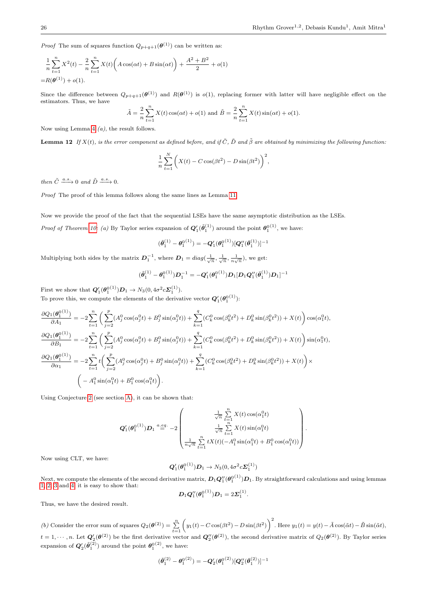*Proof* The sum of squares function  $Q_{p+q+1}(\boldsymbol{\theta}^{(1)})$  can be written as:

$$
\frac{1}{n}\sum_{t=1}^{n} X^{2}(t) - \frac{2}{n}\sum_{t=1}^{n} X(t) \left(A\cos(\alpha t) + B\sin(\alpha t)\right) + \frac{A^{2} + B^{2}}{2} + o(1)
$$

$$
= R(\theta^{(1)}) + o(1).
$$

Since the difference between  $Q_{p+q+1}(\theta^{(1)})$  and  $R(\theta^{(1)})$  is  $o(1)$ , replacing former with latter will have negligible effect on the estimators. Thus, we have

$$
\tilde{A} = \frac{2}{n} \sum_{t=1}^{n} X(t) \cos(\alpha t) + o(1)
$$
 and  $\tilde{B} = \frac{2}{n} \sum_{t=1}^{n} X(t) \sin(\alpha t) + o(1)$ .

Now using Lemma [4](#page-17-2) (a), the result follows.

**Lemma 12** If  $X(t)$ , is the error component as defined before, and if  $\tilde{C}$ ,  $\tilde{D}$  and  $\tilde{\beta}$  are obtained by minimizing the following function:

$$
\frac{1}{n}\sum_{t=1}^{N}\left(X(t) - C\cos(\beta t^2) - D\sin(\beta t^2)\right)^2,
$$

then  $\tilde{C} \xrightarrow{a.s.} 0$  and  $\tilde{D} \xrightarrow{a.s.} 0$ .

Proof The proof of this lemma follows along the same lines as Lemma [11.](#page-24-1)

Now we provide the proof of the fact that the sequential LSEs have the same asymptotic distribution as the LSEs.

*Proof of Theorem [10:](#page-7-0) (a)* By Taylor series expansion of  $Q'_1(\tilde{\theta}_1^{(1)})$  around the point  $\theta_1^{(1)}$ , we have:

$$
(\tilde{\pmb{\theta}}_1^{(1)} - {\pmb{\theta}}_1^{0(1)}) = -{\pmb{Q}}_1'({\pmb{\theta}}_1^{0(1)}) [{\pmb{Q}}_1''(\bar{\pmb{\theta}}_1^{(1)})]^{-1}
$$

Multiplying both sides by the matrix  $D_1^{-1}$ , where  $D_1 = diag(\frac{1}{\sqrt{n}}, \frac{1}{\sqrt{n}}, \frac{1}{n\sqrt{n}})$ , we get:

$$
(\tilde{\theta}_1^{(1)} - \theta_1^{0\,(1)})\boldsymbol{D}_1^{-1} = -\boldsymbol{Q}_1'(\theta_1^{0\,(1)})\boldsymbol{D}_1[\boldsymbol{D}_1\boldsymbol{Q}_1''(\bar{\theta}_1^{(1)})\boldsymbol{D}_1]^{-1}
$$

First we show that  $Q'_1(\theta_1^{0(1)})D_1 \to N_3(0, 4\sigma^2 c \Sigma_1^{(1)})$ .

To prove this, we compute the elements of the derivative vector  $Q'_{1}(\theta_1^{0(1)})$ :

$$
\begin{split} \frac{\partial Q_{1}(\theta_{1}^{0(1)})}{\partial A_{1}}&=-2\sum_{t=1}^{n}\bigg(\sum_{j=2}^{p}(A_{j}^{0}\cos(\alpha_{j}^{0}t)+B_{j}^{0}\sin(\alpha_{j}^{0}t))+\sum_{k=1}^{q}(C_{k}^{0}\cos(\beta_{k}^{0}t^{2})+D_{k}^{0}\sin(\beta_{k}^{0}t^{2}))+X(t)\bigg)\cos(\alpha_{1}^{0}t),\\ \frac{\partial Q_{1}(\theta_{1}^{0(1)})}{\partial B_{1}}&=-2\sum_{t=1}^{n}\bigg(\sum_{j=2}^{p}(A_{j}^{0}\cos(\alpha_{j}^{0}t)+B_{j}^{0}\sin(\alpha_{j}^{0}t))+\sum_{k=1}^{q}(C_{k}^{0}\cos(\beta_{k}^{0}t^{2})+D_{k}^{0}\sin(\beta_{k}^{0}t^{2}))+X(t)\bigg)\sin(\alpha_{1}^{0}t),\\ \frac{\partial Q_{1}(\theta_{1}^{0(1)})}{\partial \alpha_{1}}&=-2\sum_{t=1}^{n}t\bigg(\sum_{j=2}^{p}(A_{j}^{0}\cos(\alpha_{j}^{0}t)+B_{j}^{0}\sin(\alpha_{j}^{0}t))+\sum_{k=1}^{q}(C_{k}^{0}\cos(\beta_{k}^{0}t^{2})+D_{k}^{0}\sin(\beta_{k}^{0}t^{2}))+X(t)\bigg)\times\\ &\bigg(-A_{1}^{0}\sin(\alpha_{1}^{0}t)+B_{1}^{0}\cos(\alpha_{1}^{0}t)\bigg). \end{split}
$$

Using Conjecture [2](#page-18-5) (see section [A\)](#page-17-1), it can be shown that:

$$
\mathbf{Q}'_1(\boldsymbol{\theta}_1^{0(1)})\mathbf{D}_1 \stackrel{a.eq.}{=} -2 \left(\begin{matrix} \frac{1}{\sqrt{n}} \sum\limits_{t=1}^n X(t) \cos(\alpha_1^0 t) \\ \frac{1}{\sqrt{n}} \sum\limits_{t=1}^n X(t) \sin(\alpha_1^0 t) \\ \frac{1}{n\sqrt{n}} \sum\limits_{t=1}^n tX(t) (-A_1^0 \sin(\alpha_1^0 t) + B_1^0 \cos(\alpha_1^0 t)) \end{matrix}\right).
$$

Now using CLT, we have:

$$
\mathbf{Q}'_1(\boldsymbol{\theta}_1^{0(1)})\mathbf{D}_1 \to N_3(0, 4\sigma^2 c \mathbf{\Sigma}_1^{(1)})
$$

Next, we compute the elements of the second derivative matrix,  $D_1 Q_1''(\theta_1^{0(1)}) D_1$ . By straightforward calculations and using lemmas [1,](#page-17-3) [2,](#page-17-4) [3](#page-17-5) and [4,](#page-17-2) it is easy to show that:

$$
\mathbf{D}_1\mathbf{Q}_1''(\theta_1^{0(1)})\mathbf{D}_1=2\mathbf{\Sigma}_1^{(1)}.
$$

Thus, we have the desired result.

(b) Consider the error sum of squares  $Q_2(\theta^{(2)}) = \sum_{t=1}^n \left( y_1(t) - C \cos(\beta t^2) - D \sin(\beta t^2) \right)^2$ . Here  $y_1(t) = y(t) - \tilde{A} \cos(\tilde{\alpha} t) - \tilde{B} \sin(\tilde{\alpha} t)$ ,  $t = 1, \dots, n$ . Let  $Q'_{2}(\theta^{(2)})$  be the first derivative vector and  $Q''_{2}(\theta^{(2)})$ , the second derivative matrix of  $Q_{2}(\theta^{(2)})$ . By Taylor series expansion of  $\mathbf{Q}'_2(\tilde{\theta}_1^{(2)})$  around the point  $\theta_1^{0(2)}$ , we have:

$$
(\tilde{\boldsymbol{\theta}}_1^{(2)} - \boldsymbol{\theta}_1^{0\,(2)}) = -\boldsymbol{Q}_2'(\boldsymbol{\theta}_1^{0\,(2)}) [\boldsymbol{Q}_2''(\bar{\boldsymbol{\theta}}_1^{(2)})]^{-1}
$$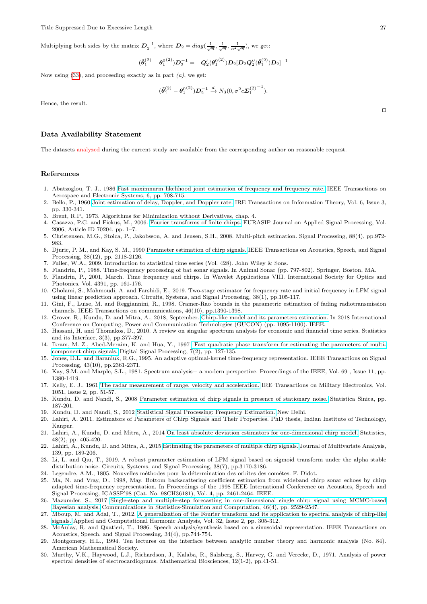Multiplying both sides by the matrix  $D_2^{-1}$ , where  $D_2 = diag(\frac{1}{\sqrt{n}}, \frac{1}{\sqrt{n}}, \frac{1}{n^2\sqrt{n}})$ , we get:

$$
(\tilde{\boldsymbol{\theta}}_1^{(2)} - \boldsymbol{\theta}_1^{0\,(2)}) \boldsymbol{D}_2^{-1} = -\boldsymbol{Q}_2'(\boldsymbol{\theta}_1^{0\,(2)}) \boldsymbol{D}_2 [\boldsymbol{D}_2 \boldsymbol{Q}_2''(\bar{\boldsymbol{\theta}}_1^{(2)}) \boldsymbol{D}_2]^{-1}
$$

Now using  $(33)$ , and proceeding exactly as in part  $(a)$ , we get:

$$
(\tilde{\theta}_1^{(2)} - \theta_1^{0(2)}) \mathbf{D}_2^{-1} \xrightarrow{d} N_3(0, \sigma^2 c \mathbf{\Sigma}_1^{(2)}^{-1}).
$$

Hence, the result.

#### Data Availability Statement

The datasets analyzed during the current study are available from the corresponding author on reasonable request.

#### References

- <span id="page-26-13"></span>1. Abatzoglou, T. J., 1986 [Fast maximnurm likelihood joint estimation of frequency and frequency rate.](http://ieeexplore.ieee.org/stamp/stamp.jsp?arnumber=4104290) IEEE Transactions on Aerospace and Electronic Systems, 6, pp. 708-715.
- <span id="page-26-11"></span>2. Bello, P., 1960 [Joint estimation of delay, Doppler, and Doppler rate.](http://ieeexplore.ieee.org/stamp/stamp.jsp?arnumber=1057562) IRE Transactions on Information Theory, Vol. 6, Issue 3, pp. 330-341.
- <span id="page-26-24"></span>3. Brent, R.P., 1973. Algorithms for Minimization without Derivatives, chap. 4.
- <span id="page-26-22"></span>4. Casazza, P.G. and Fickus, M., 2006. [Fourier transforms of finite chirps.](https://link.springer.com/content/pdf/10.1155/ASP/2006/70204.pdf) EURASIP Journal on Applied Signal Processing, Vol. 2006, Article ID 70204, pp. 1–7.
- <span id="page-26-8"></span>5. Christensen, M.G., Stoica, P., Jakobsson, A. and Jensen, S.H., 2008. Multi-pitch estimation. Signal Processing, 88(4), pp.972- 983.
- <span id="page-26-14"></span>6. Djuric, P. M., and Kay, S. M., 1990 [Parameter estimation of chirp signals.](http://ieeexplore.ieee.org/stamp/stamp.jsp?arnumber=61538) IEEE Transactions on Acoustics, Speech, and Signal Processing, 38(12), pp. 2118-2126.
- <span id="page-26-25"></span>7. Fuller, W.A., 2009. Introduction to statistical time series (Vol. 428). John Wiley & Sons.
- <span id="page-26-6"></span>8. Flandrin, P., 1988. Time-frequency processing of bat sonar signals. In Animal Sonar (pp. 797-802). Springer, Boston, MA.
- 9. Flandrin, P., 2001, March. Time frequency and chirps. In Wavelet Applications VIII. International Society for Optics and Photonics. Vol. 4391, pp. 161-176.
- <span id="page-26-18"></span>10. Gholami, S., Mahmoudi, A. and Farshidi, E., 2019. Two-stage estimator for frequency rate and initial frequency in LFM signal using linear prediction approach. Circuits, Systems, and Signal Processing, 38(1), pp.105-117.
- <span id="page-26-10"></span>11. Gini, F., Luise, M. and Reggiannini, R., 1998. Cramer-Rao bounds in the parametric estimation of fading radiotransmission channels. IEEE Transactions on communications, 46(10), pp.1390-1398.
- <span id="page-26-0"></span>12. Grover, R., Kundu, D. and Mitra, A., 2018, September. [Chirp-like model and its parameters estimation.](https://ieeexplore.ieee.org/stamp/stamp.jsp?arnumber=8674970) In 2018 International Conference on Computing, Power and Communication Technologies (GUCON) (pp. 1095-1100). IEEE.
- <span id="page-26-3"></span>13. Hassani, H. and Thomakos, D., 2010. A review on singular spectrum analysis for economic and financial time series. Statistics and its Interface, 3(3), pp.377-397.
- <span id="page-26-15"></span>14. Ikram, M. Z., Abed-Meraim, K. and Hua, Y., 1997 [Fast quadratic phase transform for estimating the parameters of multi](http://ac.els-cdn.com/S1051200497902864/1-s2.0-S1051200497902864-main.pdf?_tid=4430bc46-6ec2-11e7-ad19-00000aacb35f&acdnat=1500716810_80c53c229d30f17ef6e4d4812811e175)[component chirp signals.](http://ac.els-cdn.com/S1051200497902864/1-s2.0-S1051200497902864-main.pdf?_tid=4430bc46-6ec2-11e7-ad19-00000aacb35f&acdnat=1500716810_80c53c229d30f17ef6e4d4812811e175) Digital Signal Processing, 7(2), pp. 127-135.
- <span id="page-26-7"></span>15. Jones, D.L. and Baraniuk, R.G., 1995. An adaptive optimal-kernel time-frequency representation. IEEE Transactions on Signal Processing, 43(10), pp.2361-2371.
- <span id="page-26-5"></span>16. Kay, S.M. and Marple, S.L., 1981. Spectrum analysis− a modern perspective. Proceedings of the IEEE, Vol. 69 , Issue 11, pp. 1380-1419.
- <span id="page-26-12"></span>17. Kelly, E. J., 1961 [The radar measurement of range, velocity and acceleration.](http://ieeexplore.ieee.org/stamp/stamp.jsp?arnumber=5008321) IRE Transactions on Military Electronics, Vol. 1051, Issue 2, pp. 51-57.
- <span id="page-26-20"></span>18. Kundu, D. and Nandi, S., 2008 [Parameter estimation of chirp signals in presence of stationary noise.](http://home.iitk.ac.in/~kundu/paper117.pdf) Statistica Sinica, pp. 187-201.
- <span id="page-26-4"></span>19. Kundu, D. and Nandi, S., 2012 [Statistical Signal Processing: Frequency Estimation.](http://www.springer.com/in/book/9788132206279) New Delhi.
- <span id="page-26-26"></span>20. Lahiri, A. 2011. Estimators of Parameters of Chirp Signals and Their Properties. PhD thesis, Indian Institute of Technology, Kanpur.
- <span id="page-26-16"></span>21. Lahiri, A., Kundu, D. and Mitra, A., 2014 [On least absolute deviation estimators for one-dimensional chirp model.](http://home.iitk.ac.in/~kundu/chirp-one-LAD-rev-2.pdf) Statistics, 48(2), pp. 405-420.
- <span id="page-26-21"></span>22. Lahiri, A., Kundu, D. and Mitra, A., 2015 [Estimating the parameters of multiple chirp signals.](http://www.sciencedirect.com/science/article/pii/S0047259X15000329) Journal of Multivariate Analysis, 139, pp. 189-206.
- <span id="page-26-19"></span>23. Li, L. and Qiu, T., 2019. A robust parameter estimation of LFM signal based on sigmoid transform under the alpha stable distribution noise. Circuits, Systems, and Signal Processing, 38(7), pp.3170-3186.
- 24. Legendre, A.M., 1805. Nouvelles méthodes pour la détermination des orbites des cométes. F. Didot.
- <span id="page-26-9"></span>25. Ma, N. and Vray, D., 1998, May. Bottom backscattering coefficient estimation from wideband chirp sonar echoes by chirp adapted time-frequency representation. In Proceedings of the 1998 IEEE International Conference on Acoustics, Speech and Signal Processing, ICASSP'98 (Cat. No. 98CH36181), Vol. 4, pp. 2461-2464. IEEE.
- <span id="page-26-17"></span>26. Mazumder, S., 2017 [Single-step and multiple-step forecasting in one-dimensional single chirp signal using MCMC-based](http://www.tandfonline.com/doi/pdf/10.1080/03610918.2015.1053921?needAccess=true) [Bayesian analysis.](http://www.tandfonline.com/doi/pdf/10.1080/03610918.2015.1053921?needAccess=true) Communications in Statistics-Simulation and Computation, 46(4), pp. 2529-2547.
- <span id="page-26-23"></span>27. Mboup, M. and Adal, T., 2012. [A generalization of the Fourier transform and its application to spectral analysis of chirp-like](https://www.sciencedirect.com/science/article/pii/S1063520311001229) [signals.](https://www.sciencedirect.com/science/article/pii/S1063520311001229) Applied and Computational Harmonic Analysis, Vol. 32, Issue 2, pp. 305-312.
- <span id="page-26-1"></span>28. McAulay, R. and Quatieri, T., 1986. Speech analysis/synthesis based on a sinusoidal representation. IEEE Transactions on Acoustics, Speech, and Signal Processing, 34(4), pp.744-754.
- <span id="page-26-27"></span>29. Montgomery, H.L., 1994. Ten lectures on the interface between analytic number theory and harmonic analysis (No. 84). American Mathematical Society.
- <span id="page-26-2"></span>30. Murthy, V.K., Haywood, L.J., Richardson, J., Kalaba, R., Salzberg, S., Harvey, G. and Vereeke, D., 1971. Analysis of power spectral densities of electrocardiograms. Mathematical Biosciences, 12(1-2), pp.41-51.

 $\Box$